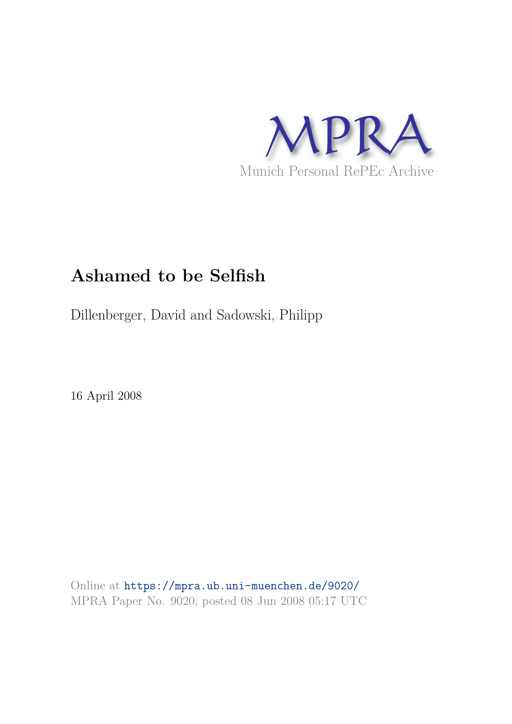

# **Ashamed to be Selfish**

Dillenberger, David and Sadowski, Philipp

16 April 2008

Online at https://mpra.ub.uni-muenchen.de/9020/ MPRA Paper No. 9020, posted 08 Jun 2008 05:17 UTC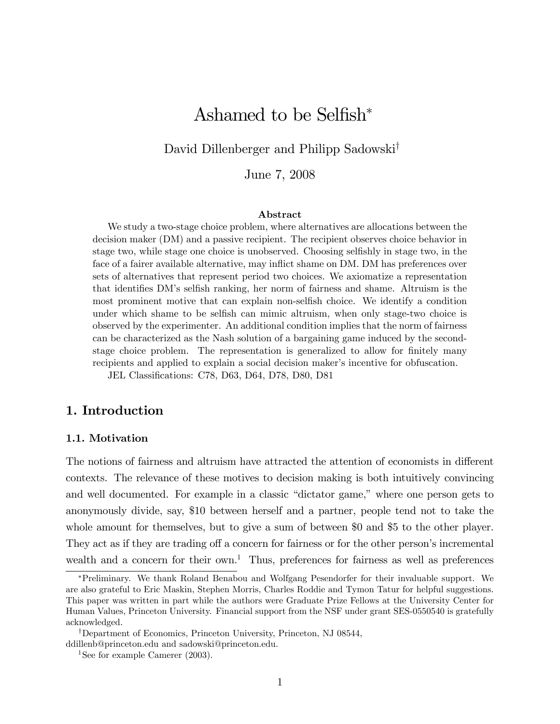## Ashamed to be Selfish $*$

David Dillenberger and Philipp Sadowski<sup>†</sup>

June 7, 2008

#### Abstract

We study a two-stage choice problem, where alternatives are allocations between the decision maker (DM) and a passive recipient. The recipient observes choice behavior in stage two, while stage one choice is unobserved. Choosing selfishly in stage two, in the face of a fairer available alternative, may inflict shame on DM. DM has preferences over sets of alternatives that represent period two choices. We axiomatize a representation that identifies DM's selfish ranking, her norm of fairness and shame. Altruism is the most prominent motive that can explain non-selfish choice. We identify a condition under which shame to be selfish can mimic altruism, when only stage-two choice is observed by the experimenter. An additional condition implies that the norm of fairness can be characterized as the Nash solution of a bargaining game induced by the secondstage choice problem. The representation is generalized to allow for finitely many recipients and applied to explain a social decision maker's incentive for obfuscation.

JEL Classifications: C78, D63, D64, D78, D80, D81

## 1. Introduction

#### 1.1. Motivation

The notions of fairness and altruism have attracted the attention of economists in different contexts. The relevance of these motives to decision making is both intuitively convincing and well documented. For example in a classic "dictator game," where one person gets to anonymously divide, say, \$10 between herself and a partner, people tend not to take the whole amount for themselves, but to give a sum of between \$0 and \$5 to the other player. They act as if they are trading off a concern for fairness or for the other person's incremental wealth and a concern for their  $own<sup>1</sup>$ . Thus, preferences for fairness as well as preferences

Preliminary. We thank Roland Benabou and Wolfgang Pesendorfer for their invaluable support. We are also grateful to Eric Maskin, Stephen Morris, Charles Roddie and Tymon Tatur for helpful suggestions. This paper was written in part while the authors were Graduate Prize Fellows at the University Center for Human Values, Princeton University. Financial support from the NSF under grant SES-0550540 is gratefully acknowledged.

<sup>&</sup>lt;sup>†</sup>Department of Economics, Princeton University, Princeton, NJ 08544, ddillenb@princeton.edu and sadowski@princeton.edu.

<sup>&</sup>lt;sup>1</sup>See for example Camerer  $(2003)$ .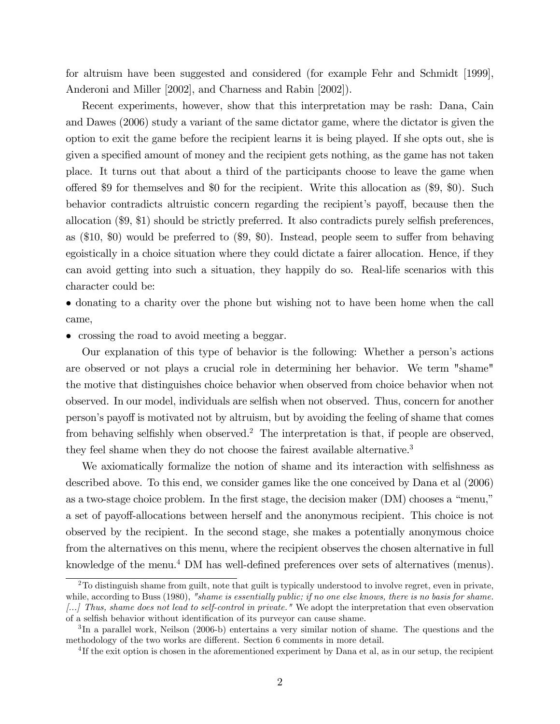for altruism have been suggested and considered (for example Fehr and Schmidt [1999], Anderoni and Miller [2002], and Charness and Rabin [2002]).

Recent experiments, however, show that this interpretation may be rash: Dana, Cain and Dawes (2006) study a variant of the same dictator game, where the dictator is given the option to exit the game before the recipient learns it is being played. If she opts out, she is given a specified amount of money and the recipient gets nothing, as the game has not taken place. It turns out that about a third of the participants choose to leave the game when offered \$9 for themselves and \$0 for the recipient. Write this allocation as  $(\$9, \$0)$ . Such behavior contradicts altruistic concern regarding the recipient's payoff, because then the allocation  $(\$9, \$1)$  should be strictly preferred. It also contradicts purely selfish preferences, as  $(\$10, \$0)$  would be preferred to  $(\$9, \$0)$ . Instead, people seem to suffer from behaving egoistically in a choice situation where they could dictate a fairer allocation. Hence, if they can avoid getting into such a situation, they happily do so. Real-life scenarios with this character could be:

 donating to a charity over the phone but wishing not to have been home when the call came,

crossing the road to avoid meeting a beggar.

Our explanation of this type of behavior is the following: Whether a personís actions are observed or not plays a crucial role in determining her behavior. We term "shame" the motive that distinguishes choice behavior when observed from choice behavior when not observed. In our model, individuals are selfish when not observed. Thus, concern for another person's payoff is motivated not by altruism, but by avoiding the feeling of shame that comes from behaving selfishly when observed.<sup>2</sup> The interpretation is that, if people are observed, they feel shame when they do not choose the fairest available alternative.<sup>3</sup>

We axiomatically formalize the notion of shame and its interaction with selfishness as described above. To this end, we consider games like the one conceived by Dana et al (2006) as a two-stage choice problem. In the first stage, the decision maker  $(DM)$  chooses a "menu," a set of payoff-allocations between herself and the anonymous recipient. This choice is not observed by the recipient. In the second stage, she makes a potentially anonymous choice from the alternatives on this menu, where the recipient observes the chosen alternative in full knowledge of the menu.<sup>4</sup> DM has well-defined preferences over sets of alternatives (menus).

<sup>&</sup>lt;sup>2</sup>To distinguish shame from guilt, note that guilt is typically understood to involve regret, even in private, while, according to Buss (1980), "shame is essentially public; if no one else knows, there is no basis for shame. [...] Thus, shame does not lead to self-control in private." We adopt the interpretation that even observation of a selfish behavior without identification of its purveyor can cause shame.

<sup>&</sup>lt;sup>3</sup>In a parallel work, Neilson (2006-b) entertains a very similar notion of shame. The questions and the methodology of the two works are different. Section 6 comments in more detail.

<sup>&</sup>lt;sup>4</sup>If the exit option is chosen in the aforementioned experiment by Dana et al, as in our setup, the recipient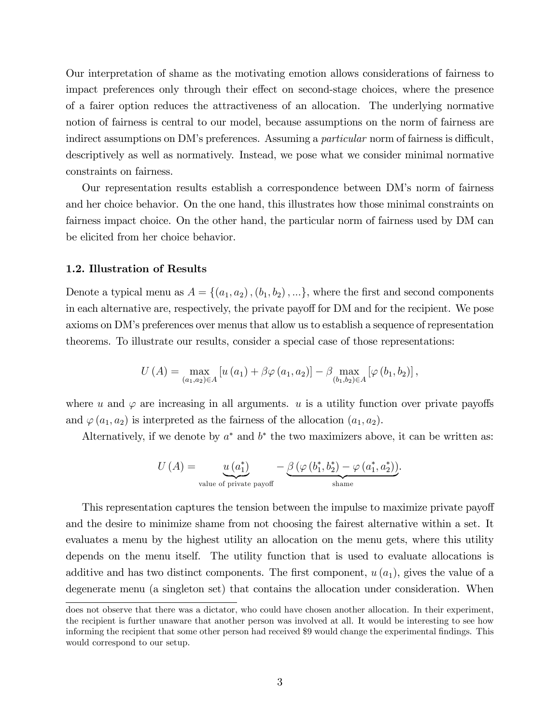Our interpretation of shame as the motivating emotion allows considerations of fairness to impact preferences only through their effect on second-stage choices, where the presence of a fairer option reduces the attractiveness of an allocation. The underlying normative notion of fairness is central to our model, because assumptions on the norm of fairness are indirect assumptions on DM's preferences. Assuming a *particular* norm of fairness is difficult, descriptively as well as normatively. Instead, we pose what we consider minimal normative constraints on fairness.

Our representation results establish a correspondence between DMís norm of fairness and her choice behavior. On the one hand, this illustrates how those minimal constraints on fairness impact choice. On the other hand, the particular norm of fairness used by DM can be elicited from her choice behavior.

#### 1.2. Illustration of Results

Denote a typical menu as  $A = \{(a_1, a_2), (b_1, b_2), ...\}$ , where the first and second components in each alternative are, respectively, the private payoff for DM and for the recipient. We pose axioms on DMís preferences over menus that allow us to establish a sequence of representation theorems. To illustrate our results, consider a special case of those representations:

$$
U(A) = \max_{(a_1, a_2) \in A} [u(a_1) + \beta \varphi(a_1, a_2)] - \beta \max_{(b_1, b_2) \in A} [\varphi(b_1, b_2)],
$$

where u and  $\varphi$  are increasing in all arguments. u is a utility function over private payoffs and  $\varphi(a_1, a_2)$  is interpreted as the fairness of the allocation  $(a_1, a_2)$ .

Alternatively, if we denote by  $a^*$  and  $b^*$  the two maximizers above, it can be written as:

$$
U\left(A\right) = \underbrace{u\left(a_1^*\right)}_{\text{value of private payoff}} - \underbrace{\beta\left(\varphi\left(b_1^*, b_2^*\right) - \varphi\left(a_1^*, a_2^*\right)\right)}_{\text{shame}}.
$$

This representation captures the tension between the impulse to maximize private payoff and the desire to minimize shame from not choosing the fairest alternative within a set. It evaluates a menu by the highest utility an allocation on the menu gets, where this utility depends on the menu itself. The utility function that is used to evaluate allocations is additive and has two distinct components. The first component,  $u (a_1)$ , gives the value of a degenerate menu (a singleton set) that contains the allocation under consideration. When

does not observe that there was a dictator, who could have chosen another allocation. In their experiment, the recipient is further unaware that another person was involved at all. It would be interesting to see how informing the recipient that some other person had received \$9 would change the experimental Öndings. This would correspond to our setup.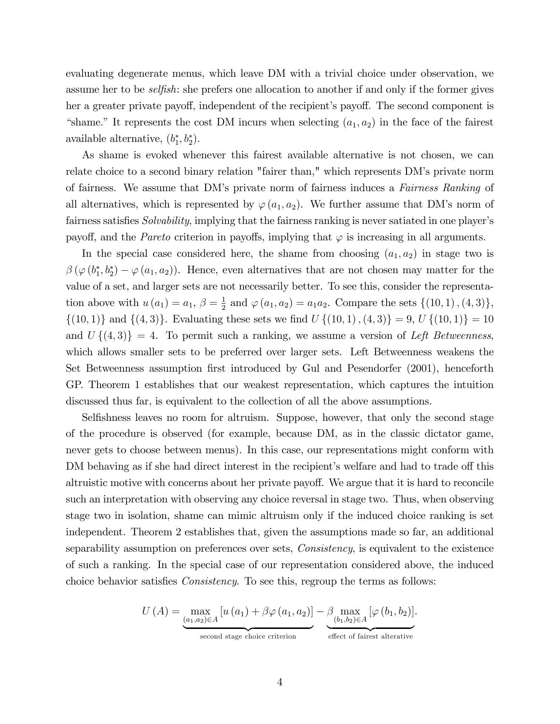evaluating degenerate menus, which leave DM with a trivial choice under observation, we assume her to be *selfish*: she prefers one allocation to another if and only if the former gives her a greater private payoff, independent of the recipient's payoff. The second component is "shame." It represents the cost DM incurs when selecting  $(a_1, a_2)$  in the face of the fairest available alternative,  $(b_1^*, b_2^*)$ .

As shame is evoked whenever this fairest available alternative is not chosen, we can relate choice to a second binary relation "fairer than," which represents DM's private norm of fairness. We assume that DM's private norm of fairness induces a Fairness Ranking of all alternatives, which is represented by  $\varphi(a_1, a_2)$ . We further assume that DM's norm of fairness satisfies Solvability, implying that the fairness ranking is never satiated in one player's payoff, and the *Pareto* criterion in payoffs, implying that  $\varphi$  is increasing in all arguments.

In the special case considered here, the shame from choosing  $(a_1, a_2)$  in stage two is  $\beta(\varphi(b_1^*, b_2^*) - \varphi(a_1, a_2)).$  Hence, even alternatives that are not chosen may matter for the value of a set, and larger sets are not necessarily better. To see this, consider the representation above with  $u(a_1) = a_1, \beta = \frac{1}{2}$  $\frac{1}{2}$  and  $\varphi(a_1, a_2) = a_1 a_2$ . Compare the sets  $\{(10, 1), (4, 3)\},$  $\{(10,1)\}\$  and  $\{(4,3)\}\$ . Evaluating these sets we find  $U\{(10,1), (4,3)\}=9, U\{(10,1)\}=10$ and  $U\{(4,3)\}=4$ . To permit such a ranking, we assume a version of Left Betweenness, which allows smaller sets to be preferred over larger sets. Left Betweenness weakens the Set Betweenness assumption first introduced by Gul and Pesendorfer (2001), henceforth GP. Theorem 1 establishes that our weakest representation, which captures the intuition discussed thus far, is equivalent to the collection of all the above assumptions.

Selfishness leaves no room for altruism. Suppose, however, that only the second stage of the procedure is observed (for example, because DM, as in the classic dictator game, never gets to choose between menus). In this case, our representations might conform with DM behaving as if she had direct interest in the recipient's welfare and had to trade off this altruistic motive with concerns about her private payoff. We argue that it is hard to reconcile such an interpretation with observing any choice reversal in stage two. Thus, when observing stage two in isolation, shame can mimic altruism only if the induced choice ranking is set independent. Theorem 2 establishes that, given the assumptions made so far, an additional separability assumption on preferences over sets, Consistency, is equivalent to the existence of such a ranking. In the special case of our representation considered above, the induced choice behavior satisfies *Consistency*. To see this, regroup the terms as follows:

$$
U(A) = \underbrace{\max_{(a_1, a_2) \in A} [u(a_1) + \beta \varphi(a_1, a_2)]}_{\text{second stage choice criterion}} - \underbrace{\beta \max_{(b_1, b_2) \in A} [\varphi(b_1, b_2)]}_{\text{effect of fiarest alternative}}.
$$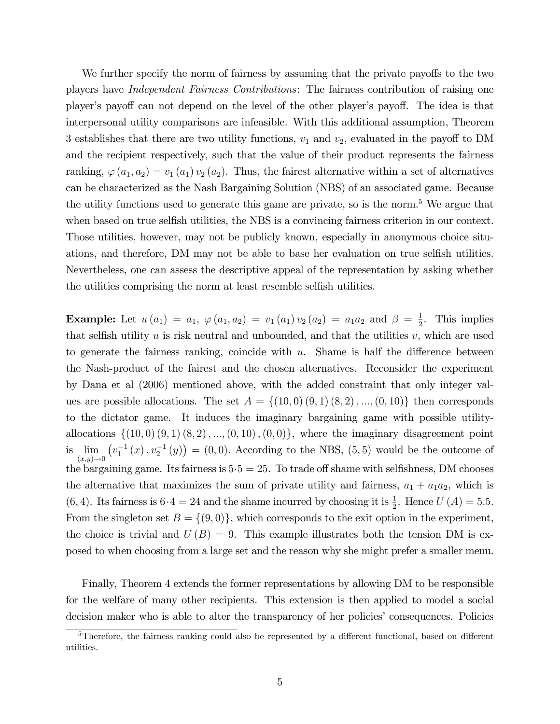We further specify the norm of fairness by assuming that the private payoffs to the two players have Independent Fairness Contributions: The fairness contribution of raising one player's payoff can not depend on the level of the other player's payoff. The idea is that interpersonal utility comparisons are infeasible. With this additional assumption, Theorem 3 establishes that there are two utility functions,  $v_1$  and  $v_2$ , evaluated in the payoff to DM and the recipient respectively, such that the value of their product represents the fairness ranking,  $\varphi(a_1, a_2) = v_1(a_1) v_2(a_2)$ . Thus, the fairest alternative within a set of alternatives can be characterized as the Nash Bargaining Solution (NBS) of an associated game. Because the utility functions used to generate this game are private, so is the norm.<sup>5</sup> We argue that when based on true selfish utilities, the NBS is a convincing fairness criterion in our context. Those utilities, however, may not be publicly known, especially in anonymous choice situations, and therefore, DM may not be able to base her evaluation on true selfish utilities. Nevertheless, one can assess the descriptive appeal of the representation by asking whether the utilities comprising the norm at least resemble selfish utilities.

**Example:** Let  $u(a_1) = a_1, \, \varphi(a_1, a_2) = v_1(a_1) v_2(a_2) = a_1 a_2$  and  $\beta = \frac{1}{2}$  $\frac{1}{2}$ . This implies that selfish utility  $u$  is risk neutral and unbounded, and that the utilities  $v$ , which are used to generate the fairness ranking, coincide with  $u$ . Shame is half the difference between the Nash-product of the fairest and the chosen alternatives. Reconsider the experiment by Dana et al (2006) mentioned above, with the added constraint that only integer values are possible allocations. The set  $A = \{(10,0), (9,1), (8,2), ..., (0,10)\}\$  then corresponds to the dictator game. It induces the imaginary bargaining game with possible utilityallocations  $\{(10, 0), (9, 1), (8, 2), ..., (0, 10), (0, 0)\},$  where the imaginary disagreement point is  $\lim_{(x,y)\to 0}$  $(v_1^{-1}(x), v_2^{-1}(y)) = (0,0)$ . According to the NBS, (5,5) would be the outcome of the bargaining game. Its fairness is  $5 \cdot 5 = 25$ . To trade off shame with selfishness, DM chooses the alternative that maximizes the sum of private utility and fairness,  $a_1 + a_1 a_2$ , which is (6, 4). Its fairness is  $6 \cdot 4 = 24$  and the shame incurred by choosing it is  $\frac{1}{2}$ . Hence  $U(A) = 5.5$ . From the singleton set  $B = \{(9, 0)\}\,$ , which corresponds to the exit option in the experiment, the choice is trivial and  $U(B) = 9$ . This example illustrates both the tension DM is exposed to when choosing from a large set and the reason why she might prefer a smaller menu.

Finally, Theorem 4 extends the former representations by allowing DM to be responsible for the welfare of many other recipients. This extension is then applied to model a social decision maker who is able to alter the transparency of her policies' consequences. Policies

 $5$ Therefore, the fairness ranking could also be represented by a different functional, based on different utilities.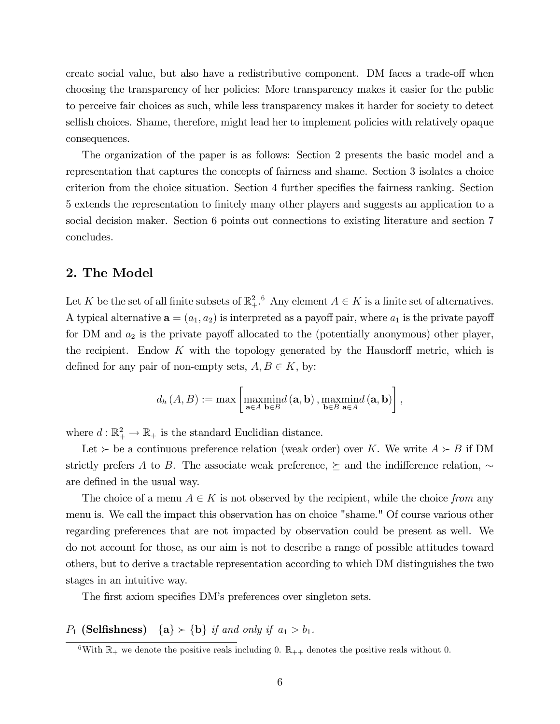create social value, but also have a redistributive component. DM faces a trade-off when choosing the transparency of her policies: More transparency makes it easier for the public to perceive fair choices as such, while less transparency makes it harder for society to detect selfish choices. Shame, therefore, might lead her to implement policies with relatively opaque consequences.

The organization of the paper is as follows: Section 2 presents the basic model and a representation that captures the concepts of fairness and shame. Section 3 isolates a choice criterion from the choice situation. Section 4 further specifies the fairness ranking. Section 5 extends the representation to Önitely many other players and suggests an application to a social decision maker. Section 6 points out connections to existing literature and section 7 concludes.

### 2. The Model

Let K be the set of all finite subsets of  $\mathbb{R}^2_+$ .<sup>6</sup> Any element  $A \in K$  is a finite set of alternatives. A typical alternative  $\mathbf{a} = (a_1, a_2)$  is interpreted as a payoff pair, where  $a_1$  is the private payoff for DM and  $a_2$  is the private payoff allocated to the (potentially anonymous) other player, the recipient. Endow  $K$  with the topology generated by the Hausdorff metric, which is defined for any pair of non-empty sets,  $A, B \in K$ , by:

$$
d_{h}(A, B) := \max \left[ \operatorname*{maxmin}_{\mathbf{a} \in A} b(\mathbf{a}, \mathbf{b}), \operatorname*{maxmin}_{\mathbf{b} \in B} d(\mathbf{a}, \mathbf{b}) \right],
$$

where  $d : \mathbb{R}_+^2 \to \mathbb{R}_+$  is the standard Euclidian distance.

Let  $\succ$  be a continuous preference relation (weak order) over K. We write  $A \succ B$  if DM strictly prefers A to B. The associate weak preference,  $\succeq$  and the indifference relation,  $\sim$ are defined in the usual way.

The choice of a menu  $A \in K$  is not observed by the recipient, while the choice from any menu is. We call the impact this observation has on choice "shame." Of course various other regarding preferences that are not impacted by observation could be present as well. We do not account for those, as our aim is not to describe a range of possible attitudes toward others, but to derive a tractable representation according to which DM distinguishes the two stages in an intuitive way.

The first axiom specifies DM's preferences over singleton sets.

 $P_1$  (Selfishness)  $\{a\} \succ \{b\}$  if and only if  $a_1 > b_1$ .

<sup>&</sup>lt;sup>6</sup>With  $\mathbb{R}_+$  we denote the positive reals including 0.  $\mathbb{R}_{++}$  denotes the positive reals without 0.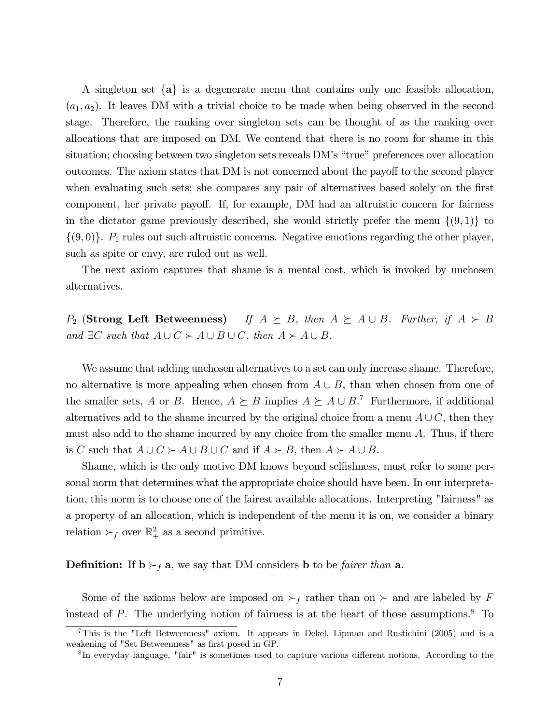A singleton set  ${a}$  is a degenerate menu that contains only one feasible allocation,  $(a_1, a_2)$ . It leaves DM with a trivial choice to be made when being observed in the second stage. Therefore, the ranking over singleton sets can be thought of as the ranking over allocations that are imposed on DM. We contend that there is no room for shame in this situation; choosing between two singleton sets reveals DM's "true" preferences over allocation outcomes. The axiom states that DM is not concerned about the payoff to the second player when evaluating such sets; she compares any pair of alternatives based solely on the first component, her private payoff. If, for example, DM had an altruistic concern for fairness in the dictator game previously described, she would strictly prefer the menu  $\{(9, 1)\}\)$  to  $\{(9,0)\}\.$  P<sub>1</sub> rules out such altruistic concerns. Negative emotions regarding the other player, such as spite or envy, are ruled out as well.

The next axiom captures that shame is a mental cost, which is invoked by unchosen alternatives.

 $P_2$  (Strong Left Betweenness) If  $A \succeq B$ , then  $A \succeq A \cup B$ . Further, if  $A \succ B$ and  $\exists C$  such that  $A \cup C \succ A \cup B \cup C$ , then  $A \succ A \cup B$ .

We assume that adding unchosen alternatives to a set can only increase shame. Therefore, no alternative is more appealing when chosen from  $A \cup B$ , than when chosen from one of the smaller sets, A or B. Hence,  $A \succeq B$  implies  $A \succeq A \cup B$ .<sup>7</sup> Furthermore, if additional alternatives add to the shame incurred by the original choice from a menu  $A \cup C$ , then they must also add to the shame incurred by any choice from the smaller menu A. Thus, if there is C such that  $A \cup C \succ A \cup B \cup C$  and if  $A \succ B$ , then  $A \succ A \cup B$ .

Shame, which is the only motive DM knows beyond selfishness, must refer to some personal norm that determines what the appropriate choice should have been. In our interpretation, this norm is to choose one of the fairest available allocations. Interpreting "fairness" as a property of an allocation, which is independent of the menu it is on, we consider a binary relation  $\succ_f$  over  $\mathbb{R}^2_+$  as a second primitive.

#### **Definition:** If  $b \succ_f a$ , we say that DM considers b to be *fairer than* a.

Some of the axioms below are imposed on  $\succ_f$  rather than on  $\succ$  and are labeled by F instead of P. The underlying notion of fairness is at the heart of those assumptions.<sup>8</sup> To

<sup>7</sup>This is the "Left Betweenness" axiom. It appears in Dekel, Lipman and Rustichini (2005) and is a weakening of "Set Betweenness" as first posed in GP.

<sup>&</sup>lt;sup>8</sup>In everyday language, "fair" is sometimes used to capture various different notions. According to the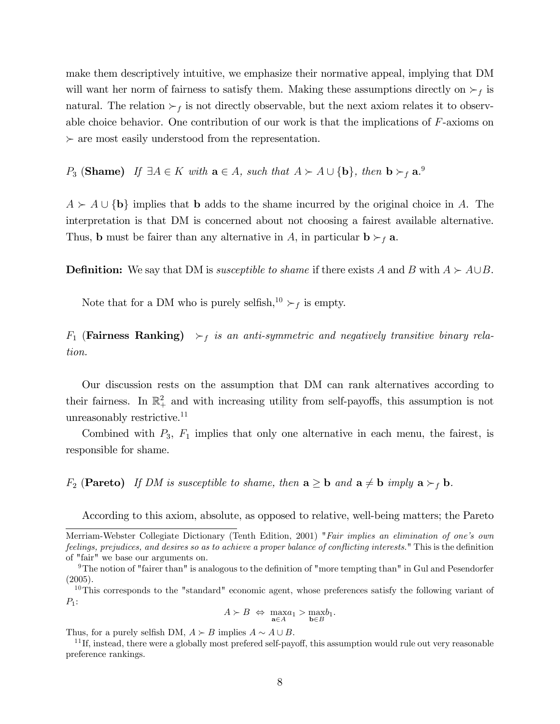make them descriptively intuitive, we emphasize their normative appeal, implying that DM will want her norm of fairness to satisfy them. Making these assumptions directly on  $\succ_f$  is natural. The relation  $\succ_f$  is not directly observable, but the next axiom relates it to observable choice behavior. One contribution of our work is that the implications of  $F$ -axioms on  $\succ$  are most easily understood from the representation.

P<sub>3</sub> (Shame) If  $\exists A \in K$  with  $\mathbf{a} \in A$ , such that  $A \succ A \cup \{\mathbf{b}\}\$ , then  $\mathbf{b} \succ_f \mathbf{a}$ .

 $A \succ A \cup \{b\}$  implies that b adds to the shame incurred by the original choice in A. The interpretation is that DM is concerned about not choosing a fairest available alternative. Thus, **b** must be fairer than any alternative in A, in particular  $\mathbf{b} \succ_f \mathbf{a}$ .

**Definition:** We say that DM is *susceptible to shame* if there exists A and B with  $A \succ A \cup B$ .

Note that for a DM who is purely selfish,<sup>10</sup>  $\succ_f$  is empty.

 $F_1$  (Fairness Ranking)  $\succ_f$  is an anti-symmetric and negatively transitive binary relation.

Our discussion rests on the assumption that DM can rank alternatives according to their fairness. In  $\mathbb{R}^2_+$  and with increasing utility from self-payoffs, this assumption is not unreasonably restrictive.<sup>11</sup>

Combined with  $P_3$ ,  $F_1$  implies that only one alternative in each menu, the fairest, is responsible for shame.

 $F_2$  (Pareto) If DM is susceptible to shame, then  $a \ge b$  and  $a \ne b$  imply  $a \succ_f b$ .

According to this axiom, absolute, as opposed to relative, well-being matters; the Pareto

$$
A \succ B \Leftrightarrow \max_{\mathbf{a} \in A} a_1 > \max_{\mathbf{b} \in B} b_1.
$$

Thus, for a purely selfish DM,  $A \succ B$  implies  $A \sim A \cup B$ .

 $11$  If, instead, there were a globally most prefered self-payoff, this assumption would rule out very reasonable preference rankings.

Merriam-Webster Collegiate Dictionary (Tenth Edition, 2001) "Fair implies an elimination of one's own feelings, prejudices, and desires so as to achieve a proper balance of conflicting interests." This is the definition of "fair" we base our arguments on.

 $9$ The notion of "fairer than" is analogous to the definition of "more tempting than" in Gul and Pesendorfer (2005).

<sup>&</sup>lt;sup>10</sup>This corresponds to the "standard" economic agent, whose preferences satisfy the following variant of  $P_1$ :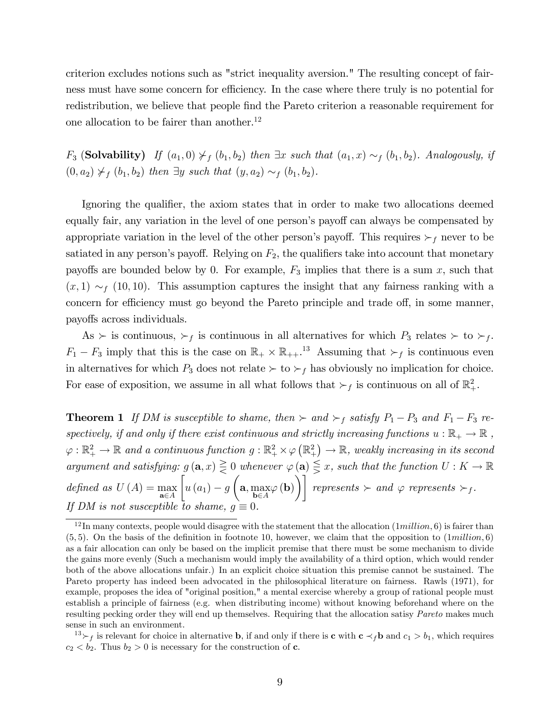criterion excludes notions such as "strict inequality aversion." The resulting concept of fairness must have some concern for efficiency. In the case where there truly is no potential for redistribution, we believe that people find the Pareto criterion a reasonable requirement for one allocation to be fairer than another.<sup>12</sup>

 $F_3$  (Solvability) If  $(a_1, 0) \nless_f (b_1, b_2)$  then  $\exists x$  such that  $(a_1, x) \sim_f (b_1, b_2)$ . Analogously, if  $(0, a_2) \nless_f (b_1, b_2)$  then  $\exists y$  such that  $(y, a_2) \sim_f (b_1, b_2)$ .

Ignoring the qualifier, the axiom states that in order to make two allocations deemed equally fair, any variation in the level of one person's payoff can always be compensated by appropriate variation in the level of the other person's payoff. This requires  $\succ_f$  never to be satiated in any person's payoff. Relying on  $F_2$ , the qualifiers take into account that monetary payoffs are bounded below by 0. For example,  $F_3$  implies that there is a sum x, such that  $(x, 1) \sim_f (10, 10)$ . This assumption captures the insight that any fairness ranking with a concern for efficiency must go beyond the Pareto principle and trade off, in some manner, payoffs across individuals.

As  $\succ$  is continuous,  $\succ_f$  is continuous in all alternatives for which  $P_3$  relates  $\succ$  to  $\succ_f$ .  $F_1 - F_3$  imply that this is the case on  $\mathbb{R}_+ \times \mathbb{R}_{++}$ .<sup>13</sup> Assuming that  $\succ_f$  is continuous even in alternatives for which  $P_3$  does not relate  $\succ$  to  $\succ_f$  has obviously no implication for choice. For ease of exposition, we assume in all what follows that  $\succ_f$  is continuous on all of  $\mathbb{R}^2_+$ .

**Theorem 1** If DM is susceptible to shame, then  $\succ$  and  $\succ$ <sub>f</sub> satisfy  $P_1 - P_3$  and  $F_1 - F_3$  respectively, if and only if there exist continuous and strictly increasing functions  $u : \mathbb{R}_+ \to \mathbb{R}$ ,  $\varphi:\mathbb{R}_+^2\to\mathbb{R}$  and a continuous function  $g:\mathbb{R}_+^2\times \varphi(\mathbb{R}_+^2)\to\mathbb{R}$ , weakly increasing in its second argument and satisfying:  $g(\mathbf{a},x) \geq 0$  whenever  $\varphi(\mathbf{a}) \leq x$ , such that the function  $U : K \to \mathbb{R}$ defined as  $U(A) = \max_{\mathbf{a} \in A}$  $\sqrt{ }$  $u(a_1) - g$  $\left(\mathbf{a}, \max_{\mathbf{b}\in A}\varphi(\mathbf{b})\right)\right]$  represents  $\succ$  and  $\varphi$  represents  $\succ_f$ . If DM is not susceptible to shame,  $g \equiv 0$ .

 $12$  In many contexts, people would disagree with the statement that the allocation  $(1million, 6)$  is fairer than  $(5, 5)$ . On the basis of the definition in footnote 10, however, we claim that the opposition to  $(1million, 6)$ as a fair allocation can only be based on the implicit premise that there must be some mechanism to divide the gains more evenly (Such a mechanism would imply the availability of a third option, which would render both of the above allocations unfair.) In an explicit choice situation this premise cannot be sustained. The Pareto property has indeed been advocated in the philosophical literature on fairness. Rawls (1971), for example, proposes the idea of "original position," a mental exercise whereby a group of rational people must establish a principle of fairness (e.g. when distributing income) without knowing beforehand where on the resulting pecking order they will end up themselves. Requiring that the allocation satisy Pareto makes much sense in such an environment.

 $13 \succ_f$  is relevant for choice in alternative **b**, if and only if there is **c** with **c**  $\prec_f$ **b** and  $c_1 > b_1$ , which requires  $c_2 < b_2$ . Thus  $b_2 > 0$  is necessary for the construction of **c**.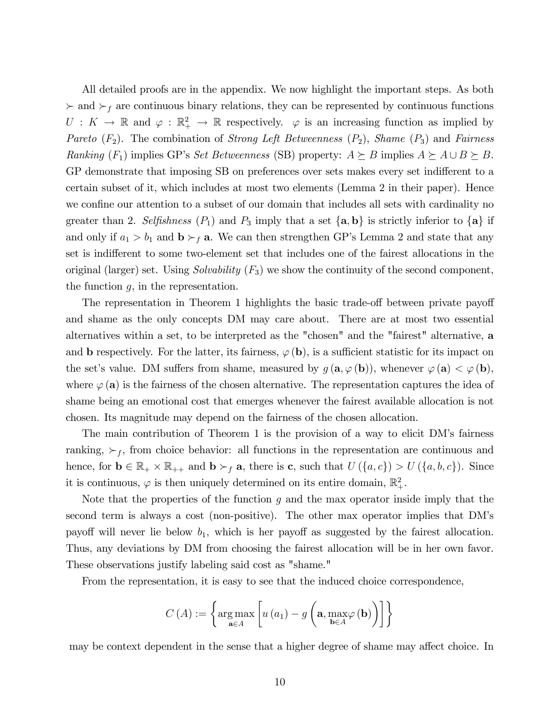All detailed proofs are in the appendix. We now highlight the important steps. As both  $\succ$  and  $\succ_f$  are continuous binary relations, they can be represented by continuous functions  $U: K \to \mathbb{R}$  and  $\varphi: \mathbb{R}^2_+ \to \mathbb{R}$  respectively.  $\varphi$  is an increasing function as implied by Pareto  $(F_2)$ . The combination of *Strong Left Betweenness*  $(P_2)$ , *Shame*  $(P_3)$  and *Fairness* Ranking  $(F_1)$  implies GP's Set Betweenness (SB) property:  $A \succeq B$  implies  $A \succeq A \cup B \succeq B$ . GP demonstrate that imposing SB on preferences over sets makes every set indifferent to a certain subset of it, which includes at most two elements (Lemma 2 in their paper). Hence we confine our attention to a subset of our domain that includes all sets with cardinality no greater than 2. Selfishness  $(P_1)$  and  $P_3$  imply that a set  $\{a, b\}$  is strictly inferior to  $\{a\}$  if and only if  $a_1 > b_1$  and  $b \succ_f a$ . We can then strengthen GP's Lemma 2 and state that any set is indifferent to some two-element set that includes one of the fairest allocations in the original (larger) set. Using *Solvability*  $(F_3)$  we show the continuity of the second component, the function  $g$ , in the representation.

The representation in Theorem 1 highlights the basic trade-off between private payoff and shame as the only concepts DM may care about. There are at most two essential alternatives within a set, to be interpreted as the "chosen" and the "fairest" alternative, a and **b** respectively. For the latter, its fairness,  $\varphi$  (b), is a sufficient statistic for its impact on the set's value. DM suffers from shame, measured by  $g(\mathbf{a}, \varphi(\mathbf{b}))$ , whenever  $\varphi(\mathbf{a}) < \varphi(\mathbf{b})$ , where  $\varphi$  (a) is the fairness of the chosen alternative. The representation captures the idea of shame being an emotional cost that emerges whenever the fairest available allocation is not chosen. Its magnitude may depend on the fairness of the chosen allocation.

The main contribution of Theorem 1 is the provision of a way to elicit DM's fairness ranking,  $\succ_f$ , from choice behavior: all functions in the representation are continuous and hence, for  $\mathbf{b} \in \mathbb{R}_+ \times \mathbb{R}_{++}$  and  $\mathbf{b} \succ_f \mathbf{a}$ , there is **c**, such that  $U(\{a,c\}) > U(\{a,b,c\})$ . Since it is continuous,  $\varphi$  is then uniquely determined on its entire domain,  $\mathbb{R}^2_+$ .

Note that the properties of the function q and the max operator inside imply that the second term is always a cost (non-positive). The other max operator implies that DMís payoff will never lie below  $b_1$ , which is her payoff as suggested by the fairest allocation. Thus, any deviations by DM from choosing the fairest allocation will be in her own favor. These observations justify labeling said cost as "shame."

From the representation, it is easy to see that the induced choice correspondence,

$$
C\left(A\right) := \left\{\arg\max_{\mathbf{a}\in A}\left[u\left(a_{1}\right) - g\left(\mathbf{a}, \max_{\mathbf{b}\in A}\varphi\left(\mathbf{b}\right)\right)\right]\right\}
$$

may be context dependent in the sense that a higher degree of shame may affect choice. In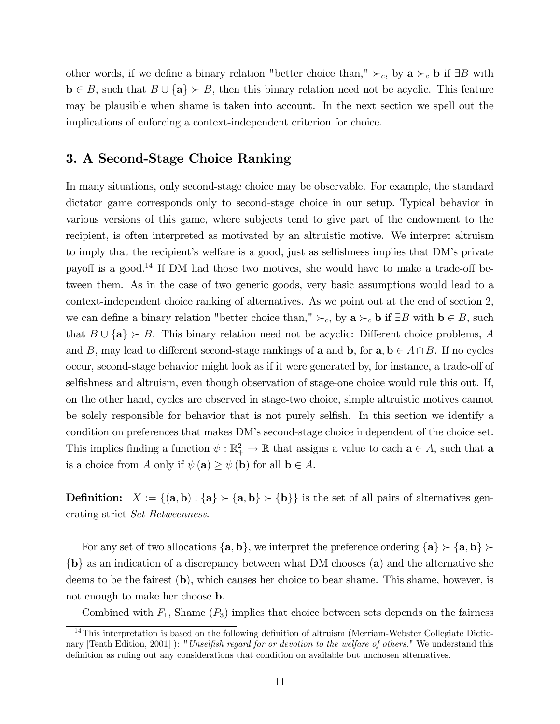other words, if we define a binary relation "better choice than,"  $\succ_c$ , by  $\mathbf{a} \succ_c \mathbf{b}$  if  $\exists B$  with  $\mathbf{b} \in B$ , such that  $B \cup \{\mathbf{a}\} \succ B$ , then this binary relation need not be acyclic. This feature may be plausible when shame is taken into account. In the next section we spell out the implications of enforcing a context-independent criterion for choice.

## 3. A Second-Stage Choice Ranking

In many situations, only second-stage choice may be observable. For example, the standard dictator game corresponds only to second-stage choice in our setup. Typical behavior in various versions of this game, where subjects tend to give part of the endowment to the recipient, is often interpreted as motivated by an altruistic motive. We interpret altruism to imply that the recipient's welfare is a good, just as selfishness implies that DM's private payoff is a good.<sup>14</sup> If DM had those two motives, she would have to make a trade-off between them. As in the case of two generic goods, very basic assumptions would lead to a context-independent choice ranking of alternatives. As we point out at the end of section 2, we can define a binary relation "better choice than,"  $\succ_c$ , by  $\mathbf{a} \succ_c \mathbf{b}$  if  $\exists B$  with  $\mathbf{b} \in B$ , such that  $B \cup \{a\} \succ B$ . This binary relation need not be acyclic: Different choice problems, A and B, may lead to different second-stage rankings of a and b, for  $a, b \in A \cap B$ . If no cycles occur, second-stage behavior might look as if it were generated by, for instance, a trade-off of selfishness and altruism, even though observation of stage-one choice would rule this out. If, on the other hand, cycles are observed in stage-two choice, simple altruistic motives cannot be solely responsible for behavior that is not purely selfish. In this section we identify a condition on preferences that makes DMís second-stage choice independent of the choice set. This implies finding a function  $\psi : \mathbb{R}^2_+ \to \mathbb{R}$  that assigns a value to each  $\mathbf{a} \in A$ , such that  $\mathbf{a}$ is a choice from A only if  $\psi(\mathbf{a}) \geq \psi(\mathbf{b})$  for all  $\mathbf{b} \in A$ .

**Definition:**  $X := \{(\mathbf{a}, \mathbf{b}) : \{\mathbf{a}\} \succ \{\mathbf{a}, \mathbf{b}\}\}\$ is the set of all pairs of alternatives generating strict Set Betweenness.

For any set of two allocations  $\{a, b\}$ , we interpret the preference ordering  $\{a\} \succ \{a, b\}$  ${b}$  as an indication of a discrepancy between what DM chooses (a) and the alternative she deems to be the fairest (b), which causes her choice to bear shame. This shame, however, is not enough to make her choose b.

Combined with  $F_1$ , Shame  $(P_3)$  implies that choice between sets depends on the fairness

 $14$ This interpretation is based on the following definition of altruism (Merriam-Webster Collegiate Dictionary [Tenth Edition, 2001] ): "Unselfish regard for or devotion to the welfare of others." We understand this definition as ruling out any considerations that condition on available but unchosen alternatives.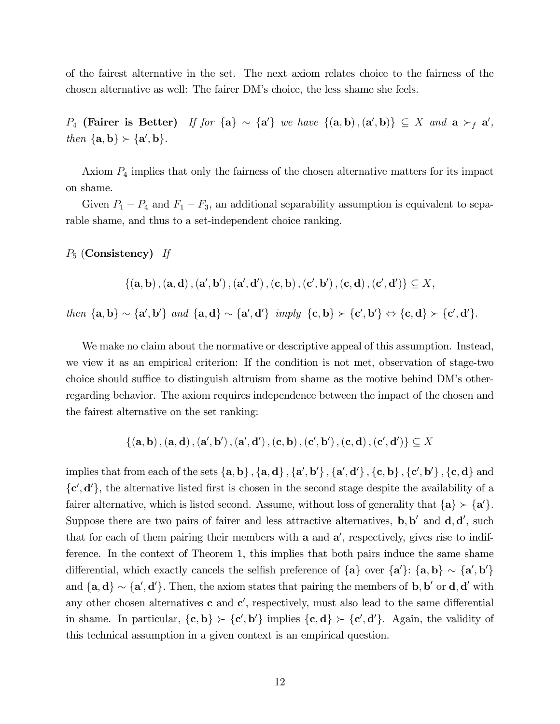of the fairest alternative in the set. The next axiom relates choice to the fairness of the chosen alternative as well: The fairer DMís choice, the less shame she feels.

 $P_4$  (Fairer is Better) If for  $\{a\} \sim \{a'\}$  we have  $\{(a, b), (a', b)\} \subseteq X$  and  $a \succ_f a'$ , then  $\{a, b\} \succ \{a', b\}.$ 

Axiom  $P_4$  implies that only the fairness of the chosen alternative matters for its impact on shame.

Given  $P_1 - P_4$  and  $F_1 - F_3$ , an additional separability assumption is equivalent to separable shame, and thus to a set-independent choice ranking.

 $P_5$  (Consistency) If

 $\{(\mathbf{a}, \mathbf{b}), (\mathbf{a}, \mathbf{d}), (\mathbf{a}', \mathbf{b}'), (\mathbf{a}', \mathbf{d}')$ ,  $(\mathbf{c}, \mathbf{b}), (\mathbf{c}', \mathbf{b}')$ ,  $(\mathbf{c}, \mathbf{d}), (\mathbf{c}', \mathbf{d}')\} \subseteq X$ ,

then  $\{a, b\} \sim \{a', b'\}$  and  $\{a, d\} \sim \{a', d'\}$  imply  $\{c, b\} \succ \{c', b'\} \Leftrightarrow \{c, d\} \succ \{c', d'\}.$ 

We make no claim about the normative or descriptive appeal of this assumption. Instead, we view it as an empirical criterion: If the condition is not met, observation of stage-two choice should suffice to distinguish altruism from shame as the motive behind DM's otherregarding behavior. The axiom requires independence between the impact of the chosen and the fairest alternative on the set ranking:

$$
\{({\bf a},{\bf b})\,,({\bf a},{\bf d})\,,({\bf a}',{\bf b}')\,,({\bf a}',{\bf d}')\,,({\bf c},{\bf b})\,,({\bf c}',{\bf b}')\,,({\bf c},{\bf d})\,,({\bf c}',{\bf d}')\}\subseteq X
$$

implies that from each of the sets  $\{a, b\}$ ,  $\{a, d\}$ ,  $\{a', b'\}$ ,  $\{a', d'\}$ ,  $\{c, b\}$ ,  $\{c', b'\}$ ,  $\{c, d\}$  and  $\{\mathbf{c}', \mathbf{d}'\}$ , the alternative listed first is chosen in the second stage despite the availability of a fairer alternative, which is listed second. Assume, without loss of generality that  $\{a\} \succ \{a'\}.$ Suppose there are two pairs of fairer and less attractive alternatives,  $\mathbf{b}, \mathbf{b}'$  and  $\mathbf{d}, \mathbf{d}'$ , such that for each of them pairing their members with a and  $a'$ , respectively, gives rise to indifference. In the context of Theorem 1, this implies that both pairs induce the same shame differential, which exactly cancels the selfish preference of  $\{a\}$  over  $\{a'\}$ :  $\{a, b\} \sim \{a', b'\}$ and  $\{a, d\} \sim \{a', d'\}$ . Then, the axiom states that pairing the members of **b**, **b**' or **d**, **d**' with any other chosen alternatives  $\mathbf c$  and  $\mathbf c'$ , respectively, must also lead to the same differential in shame. In particular,  $\{c, b\} \succ \{c', b'\}$  implies  $\{c, d\} \succ \{c', d'\}$ . Again, the validity of this technical assumption in a given context is an empirical question.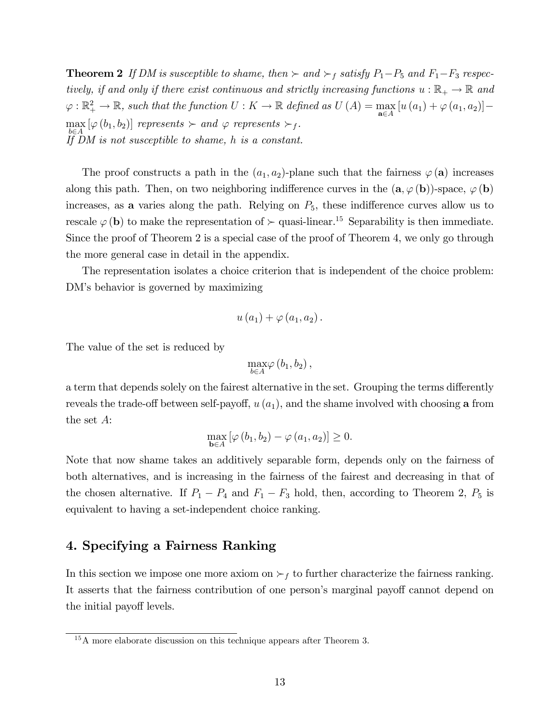**Theorem 2** If DM is susceptible to shame, then  $\succ$  and  $\succ_f$  satisfy  $P_1-P_5$  and  $F_1-F_3$  respectively, if and only if there exist continuous and strictly increasing functions  $u : \mathbb{R}_+ \to \mathbb{R}$  and  $\varphi : \mathbb{R}_+^2 \to \mathbb{R}$ , such that the function  $U : K \to \mathbb{R}$  defined as  $U(A) = \max_{\mathbf{a} \in A} [u(a_1) + \varphi(a_1, a_2)] \max_{t} [\varphi(b_1, b_2)]$  represents  $\succ$  and  $\varphi$  represents  $\succ_f$ .  $\overrightarrow{A}$   $\overrightarrow{H}$  DM is not susceptible to shame, h is a constant.

The proof constructs a path in the  $(a_1, a_2)$ -plane such that the fairness  $\varphi(\mathbf{a})$  increases along this path. Then, on two neighboring indifference curves in the  $(a, \varphi(b))$ -space,  $\varphi(b)$ increases, as a varies along the path. Relying on  $P_5$ , these indifference curves allow us to rescale  $\varphi$  (b) to make the representation of  $\succ$  quasi-linear.<sup>15</sup> Separability is then immediate. Since the proof of Theorem 2 is a special case of the proof of Theorem 4, we only go through the more general case in detail in the appendix.

The representation isolates a choice criterion that is independent of the choice problem: DM's behavior is governed by maximizing

$$
u\left( a_{1}\right) +\varphi \left( a_{1},a_{2}\right) .
$$

The value of the set is reduced by

$$
\max_{b\in A}\varphi\left( b_{1},b_{2}\right) ,
$$

a term that depends solely on the fairest alternative in the set. Grouping the terms differently reveals the trade-off between self-payoff,  $u(a_1)$ , and the shame involved with choosing a from the set A:

$$
\max_{\mathbf{b}\in A} \left[\varphi\left(b_1, b_2\right) - \varphi\left(a_1, a_2\right)\right] \geq 0.
$$

Note that now shame takes an additively separable form, depends only on the fairness of both alternatives, and is increasing in the fairness of the fairest and decreasing in that of the chosen alternative. If  $P_1 - P_4$  and  $F_1 - F_3$  hold, then, according to Theorem 2,  $P_5$  is equivalent to having a set-independent choice ranking.

## 4. Specifying a Fairness Ranking

In this section we impose one more axiom on  $\succ_f$  to further characterize the fairness ranking. It asserts that the fairness contribution of one person's marginal payoff cannot depend on the initial payoff levels.

<sup>&</sup>lt;sup>15</sup>A more elaborate discussion on this technique appears after Theorem 3.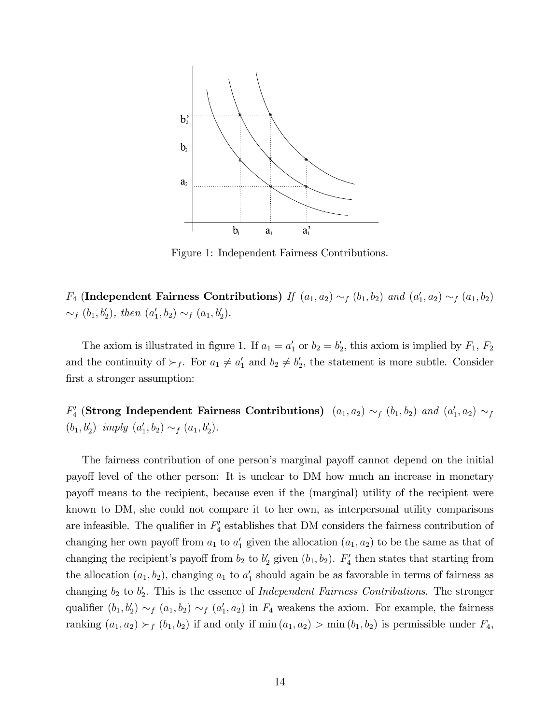

Figure 1: Independent Fairness Contributions.

 $F_4$  (Independent Fairness Contributions) If  $(a_1, a_2) \sim_f (b_1, b_2)$  and  $(a'_1, a_2) \sim_f (a_1, b_2)$  $\sim_f (b_1, b'_2)$ , then  $(a'_1, b_2) \sim_f (a_1, b'_2)$ .

The axiom is illustrated in figure 1. If  $a_1 = a'_1$  or  $b_2 = b'_2$ , this axiom is implied by  $F_1$ ,  $F_2$ and the continuity of  $\succ_f$ . For  $a_1 \neq a'_1$  and  $b_2 \neq b'_2$ , the statement is more subtle. Consider first a stronger assumption:

 $F'_4$  (Strong Independent Fairness Contributions)  $(a_1, a_2) \sim_f (b_1, b_2)$  and  $(a'_1, a_2) \sim_f$  $(b_1, b'_2)$  imply  $(a'_1, b_2) \sim_f (a_1, b'_2)$ .

The fairness contribution of one person's marginal payoff cannot depend on the initial payoff level of the other person: It is unclear to DM how much an increase in monetary payo§ means to the recipient, because even if the (marginal) utility of the recipient were known to DM, she could not compare it to her own, as interpersonal utility comparisons are infeasible. The qualifier in  $F_4'$  establishes that DM considers the fairness contribution of changing her own payoff from  $a_1$  to  $a'_1$  given the allocation  $(a_1, a_2)$  to be the same as that of changing the recipient's payoff from  $b_2$  to  $b'_2$  given  $(b_1, b_2)$ .  $F'_4$  then states that starting from the allocation  $(a_1, b_2)$ , changing  $a_1$  to  $a'_1$  should again be as favorable in terms of fairness as changing  $b_2$  to  $b'_2$ . This is the essence of *Independent Fairness Contributions*. The stronger qualifier  $(b_1, b'_2) \sim_f (a_1, b_2) \sim_f (a'_1, a_2)$  in  $F_4$  weakens the axiom. For example, the fairness ranking  $(a_1, a_2) \succ_f (b_1, b_2)$  if and only if min  $(a_1, a_2) > \min(b_1, b_2)$  is permissible under  $F_4$ ,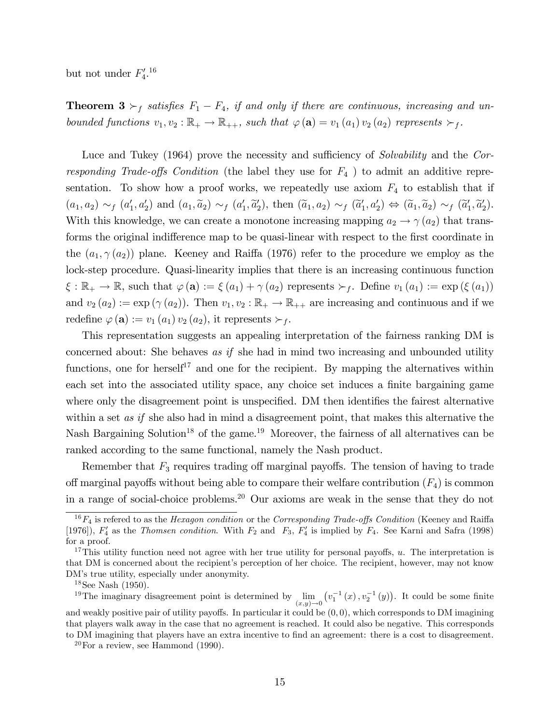but not under  $F_4^{\prime}$ .<sup>16</sup>

**Theorem 3**  $\succ_f$  satisfies  $F_1 - F_4$ , if and only if there are continuous, increasing and unbounded functions  $v_1, v_2 : \mathbb{R}_+ \to \mathbb{R}_{++}$ , such that  $\varphi(\mathbf{a}) = v_1(a_1) v_2(a_2)$  represents  $\succ_f$ .

Luce and Tukey (1964) prove the necessity and sufficiency of Solvability and the Corresponding Trade-offs Condition (the label they use for  $F_4$ ) to admit an additive representation. To show how a proof works, we repeatedly use axiom  $F_4$  to establish that if  $(a_1, a_2) \sim_f (a'_1, a'_2)$  and  $(a_1, \tilde{a}_2) \sim_f (a'_1, \tilde{a}'_2)$ , then  $(\tilde{a}_1, a_2) \sim_f (\tilde{a}'_1, a'_2) \Leftrightarrow (\tilde{a}_1, \tilde{a}_2) \sim_f (\tilde{a}'_1, \tilde{a}'_2)$ . With this knowledge, we can create a monotone increasing mapping  $a_2 \rightarrow \gamma(a_2)$  that transforms the original indifference map to be quasi-linear with respect to the first coordinate in the  $(a_1, \gamma(a_2))$  plane. Keeney and Raiffa (1976) refer to the procedure we employ as the lock-step procedure. Quasi-linearity implies that there is an increasing continuous function  $\xi : \mathbb{R}_+ \to \mathbb{R}$ , such that  $\varphi(\mathbf{a}) := \xi(a_1) + \gamma(a_2)$  represents  $\succ_f$ . Define  $v_1(a_1) := \exp(\xi(a_1))$ and  $v_2(a_2) := \exp(\gamma(a_2))$ . Then  $v_1, v_2 : \mathbb{R}_+ \to \mathbb{R}_{++}$  are increasing and continuous and if we redefine  $\varphi(\mathbf{a}) := v_1(a_1) v_2(a_2)$ , it represents  $\succ_f$ .

This representation suggests an appealing interpretation of the fairness ranking DM is concerned about: She behaves as if she had in mind two increasing and unbounded utility functions, one for herself<sup>17</sup> and one for the recipient. By mapping the alternatives within each set into the associated utility space, any choice set induces a finite bargaining game where only the disagreement point is unspecified. DM then identifies the fairest alternative within a set *as if* she also had in mind a disagreement point, that makes this alternative the Nash Bargaining Solution<sup>18</sup> of the game.<sup>19</sup> Moreover, the fairness of all alternatives can be ranked according to the same functional, namely the Nash product.

Remember that  $F_3$  requires trading off marginal payoffs. The tension of having to trade off marginal payoffs without being able to compare their welfare contribution  $(F_4)$  is common in a range of social-choice problems.<sup>20</sup> Our axioms are weak in the sense that they do not

 $16F_4$  is refered to as the Hexagon condition or the Corresponding Trade-offs Condition (Keeney and Raiffa [1976]),  $F'_4$  as the *Thomsen condition*. With  $F_2$  and  $F_3$ ,  $F'_4$  is implied by  $F_4$ . See Karni and Safra (1998) for a proof.

<sup>&</sup>lt;sup>17</sup>This utility function need not agree with her true utility for personal payoffs,  $u$ . The interpretation is that DM is concerned about the recipient's perception of her choice. The recipient, however, may not know DM's true utility, especially under anonymity.

 $18$ See Nash (1950).

<sup>&</sup>lt;sup>19</sup>The imaginary disagreement point is determined by  $\lim_{(x,y)\to 0}$  $(v_1^{-1}(x), v_2^{-1}(y))$ . It could be some finite and weakly positive pair of utility payoffs. In particular it could be  $(0,0)$ , which corresponds to DM imagining that players walk away in the case that no agreement is reached. It could also be negative. This corresponds to DM imagining that players have an extra incentive to find an agreement: there is a cost to disagreement.

 $20$ For a review, see Hammond (1990).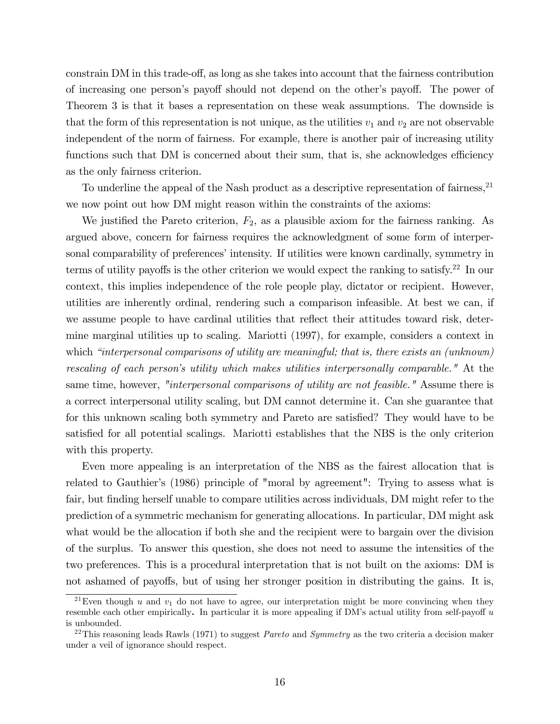constrain DM in this trade-off, as long as she takes into account that the fairness contribution of increasing one person's payoff should not depend on the other's payoff. The power of Theorem 3 is that it bases a representation on these weak assumptions. The downside is that the form of this representation is not unique, as the utilities  $v_1$  and  $v_2$  are not observable independent of the norm of fairness. For example, there is another pair of increasing utility functions such that DM is concerned about their sum, that is, she acknowledges efficiency as the only fairness criterion.

To underline the appeal of the Nash product as a descriptive representation of fairness,<sup>21</sup> we now point out how DM might reason within the constraints of the axioms:

We justified the Pareto criterion,  $F_2$ , as a plausible axiom for the fairness ranking. As argued above, concern for fairness requires the acknowledgment of some form of interpersonal comparability of preferences' intensity. If utilities were known cardinally, symmetry in terms of utility payoffs is the other criterion we would expect the ranking to satisfy.<sup>22</sup> In our context, this implies independence of the role people play, dictator or recipient. However, utilities are inherently ordinal, rendering such a comparison infeasible. At best we can, if we assume people to have cardinal utilities that reflect their attitudes toward risk, determine marginal utilities up to scaling. Mariotti (1997), for example, considers a context in which "interpersonal comparisons of utility are meaningful; that is, there exists an (unknown) rescaling of each person's utility which makes utilities interpersonally comparable." At the same time, however, "interpersonal comparisons of utility are not feasible." Assume there is a correct interpersonal utility scaling, but DM cannot determine it. Can she guarantee that for this unknown scaling both symmetry and Pareto are satisfied? They would have to be satisfied for all potential scalings. Mariotti establishes that the NBS is the only criterion with this property.

Even more appealing is an interpretation of the NBS as the fairest allocation that is related to Gauthier's (1986) principle of "moral by agreement": Trying to assess what is fair, but finding herself unable to compare utilities across individuals, DM might refer to the prediction of a symmetric mechanism for generating allocations. In particular, DM might ask what would be the allocation if both she and the recipient were to bargain over the division of the surplus. To answer this question, she does not need to assume the intensities of the two preferences. This is a procedural interpretation that is not built on the axioms: DM is not ashamed of payoffs, but of using her stronger position in distributing the gains. It is,

<sup>&</sup>lt;sup>21</sup>Even though u and  $v_1$  do not have to agree, our interpretation might be more convincing when they resemble each other empirically. In particular it is more appealing if DM's actual utility from self-payoff  $u$ is unbounded.

<sup>&</sup>lt;sup>22</sup>This reasoning leads Rawls (1971) to suggest *Pareto* and *Symmetry* as the two criteria a decision maker under a veil of ignorance should respect.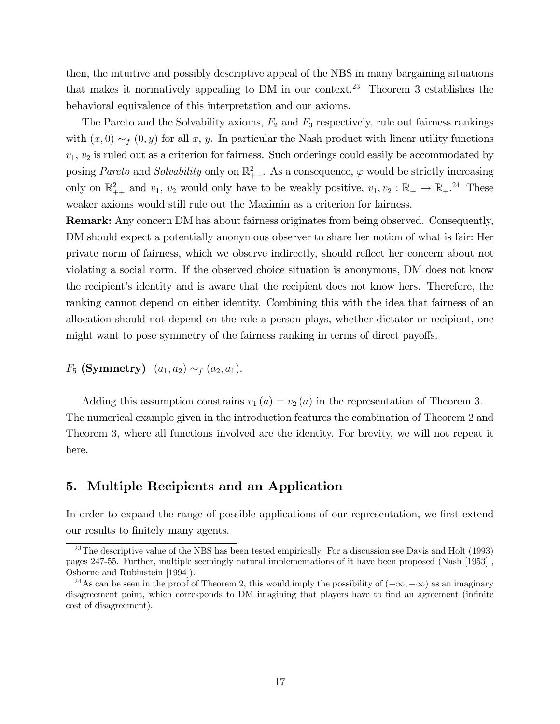then, the intuitive and possibly descriptive appeal of the NBS in many bargaining situations that makes it normatively appealing to DM in our context.<sup>23</sup> Theorem 3 establishes the behavioral equivalence of this interpretation and our axioms.

The Pareto and the Solvability axioms,  $F_2$  and  $F_3$  respectively, rule out fairness rankings with  $(x, 0) \sim_f (0, y)$  for all x, y. In particular the Nash product with linear utility functions  $v_1, v_2$  is ruled out as a criterion for fairness. Such orderings could easily be accommodated by posing *Pareto* and *Solvability* only on  $\mathbb{R}^2_{++}$ . As a consequence,  $\varphi$  would be strictly increasing only on  $\mathbb{R}^2_{++}$  and  $v_1$ ,  $v_2$  would only have to be weakly positive,  $v_1, v_2 : \mathbb{R}_+ \to \mathbb{R}_+$ .<sup>24</sup> These weaker axioms would still rule out the Maximin as a criterion for fairness.

Remark: Any concern DM has about fairness originates from being observed. Consequently, DM should expect a potentially anonymous observer to share her notion of what is fair: Her private norm of fairness, which we observe indirectly, should reáect her concern about not violating a social norm. If the observed choice situation is anonymous, DM does not know the recipientís identity and is aware that the recipient does not know hers. Therefore, the ranking cannot depend on either identity. Combining this with the idea that fairness of an allocation should not depend on the role a person plays, whether dictator or recipient, one might want to pose symmetry of the fairness ranking in terms of direct payoffs.

 $F_5$  (Symmetry)  $(a_1, a_2) \sim_f (a_2, a_1)$ .

Adding this assumption constrains  $v_1(a) = v_2(a)$  in the representation of Theorem 3. The numerical example given in the introduction features the combination of Theorem 2 and Theorem 3, where all functions involved are the identity. For brevity, we will not repeat it here.

## 5. Multiple Recipients and an Application

In order to expand the range of possible applications of our representation, we first extend our results to finitely many agents.

 $^{23}$ The descriptive value of the NBS has been tested empirically. For a discussion see Davis and Holt (1993) pages 247-55. Further, multiple seemingly natural implementations of it have been proposed (Nash [1953] , Osborne and Rubinstein [1994]).

<sup>&</sup>lt;sup>24</sup>As can be seen in the proof of Theorem 2, this would imply the possibility of  $(-\infty, -\infty)$  as an imaginary disagreement point, which corresponds to DM imagining that players have to find an agreement (infinite cost of disagreement).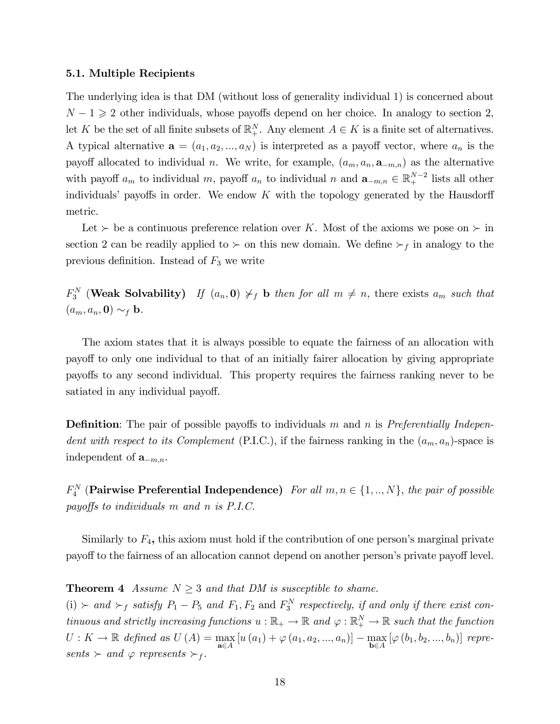#### 5.1. Multiple Recipients

The underlying idea is that DM (without loss of generality individual 1) is concerned about  $N - 1 \geq 2$  other individuals, whose payoffs depend on her choice. In analogy to section 2, let K be the set of all finite subsets of  $\mathbb{R}^N_+$ . Any element  $A \in K$  is a finite set of alternatives. A typical alternative  $\mathbf{a} = (a_1, a_2, ..., a_N)$  is interpreted as a payoff vector, where  $a_n$  is the payoff allocated to individual n. We write, for example,  $(a_m, a_n, \mathbf{a}_{-m,n})$  as the alternative with payoff  $a_m$  to individual m, payoff  $a_n$  to individual n and  $\mathbf{a}_{-m,n} \in \mathbb{R}^{N-2}$  lists all other individuals' payoffs in order. We endow  $K$  with the topology generated by the Hausdorff metric.

Let  $\succ$  be a continuous preference relation over K. Most of the axioms we pose on  $\succ$  in section 2 can be readily applied to  $\succ$  on this new domain. We define  $\succ_f$  in analogy to the previous definition. Instead of  $F_3$  we write

 $F_3^N$  (Weak Solvability) If  $(a_n, 0) \neq f$  b then for all  $m \neq n$ , there exists  $a_m$  such that  $(a_m, a_n, \mathbf{0}) \sim_f \mathbf{b}$ .

The axiom states that it is always possible to equate the fairness of an allocation with payo§ to only one individual to that of an initially fairer allocation by giving appropriate payo§s to any second individual. This property requires the fairness ranking never to be satiated in any individual payoff.

**Definition**: The pair of possible payoffs to individuals m and n is Preferentially Independent with respect to its Complement (P.I.C.), if the fairness ranking in the  $(a_m, a_n)$ -space is independent of  $\mathbf{a}_{-m,n}$ .

 $F_4^N$  (Pairwise Preferential Independence) For all  $m, n \in \{1, ..., N\}$ , the pair of possible payoffs to individuals  $m$  and  $n$  is  $P.I.C.$ 

Similarly to  $F_4$ , this axiom must hold if the contribution of one person's marginal private payoff to the fairness of an allocation cannot depend on another person's private payoff level.

#### **Theorem 4** Assume  $N \geq 3$  and that DM is susceptible to shame.

 $(i) \succ and \succ_f satisfy P_1 - P_5 and F_1, F_2 and F_3^N respectively, if and only if there exist con$ tinuous and strictly increasing functions  $u : \mathbb{R}_+ \to \mathbb{R}$  and  $\varphi : \mathbb{R}_+^N \to \mathbb{R}$  such that the function  $U: K \to \mathbb{R}$  defined as  $U(A) = \max_{\mathbf{a} \in A} [u(a_1) + \varphi(a_1, a_2, ..., a_n)] - \max_{\mathbf{b} \in A} [\varphi(b_1, b_2, ..., b_n)]$  represents  $\succ$  and  $\varphi$  represents  $\succ_f$ .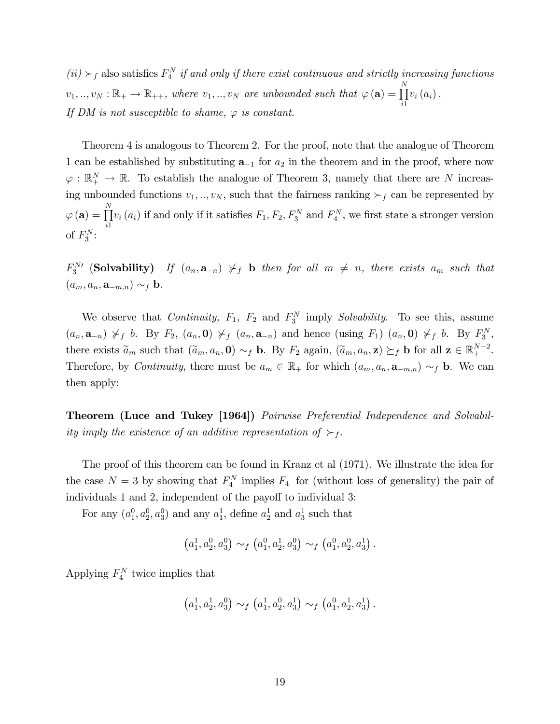$(ii) \succ_f$  also satisfies  $F_4^N$  if and only if there exist continuous and strictly increasing functions  $v_1, ..., v_N : \mathbb{R}_+ \to \mathbb{R}_{++}$ , where  $v_1, ..., v_N$  are unbounded such that  $\varphi(\mathbf{a}) = \prod^N$  $\frac{i}{1}$  $v_i(a_i)$ . If DM is not susceptible to shame,  $\varphi$  is constant.

Theorem 4 is analogous to Theorem 2. For the proof, note that the analogue of Theorem 1 can be established by substituting  $a_{-1}$  for  $a_2$  in the theorem and in the proof, where now  $\varphi : \mathbb{R}_+^N \to \mathbb{R}$ . To establish the analogue of Theorem 3, namely that there are N increasing unbounded functions  $v_1, ..., v_N$ , such that the fairness ranking  $\succ_f$  can be represented by  $\varphi\left(\mathbf{a}\right)=\prod^{N}% \left( \mathbf{a}\right) \left( \mathbf{a}\right) ^{N}$  $\frac{i}{1}$  $v_i(a_i)$  if and only if it satisfies  $F_1, F_2, F_3^N$  and  $F_4^N$ , we first state a stronger version of  $F_3^N$ :

 $F_3^{N}$  (Solvability) If  $(a_n, a_{-n}) \nsucc_f b$  then for all  $m \neq n$ , there exists  $a_m$  such that  $(a_m, a_n, \mathbf{a}_{-m,n}) \sim_f \mathbf{b}.$ 

We observe that *Continuity*,  $F_1$ ,  $F_2$  and  $F_3^N$  imply *Solvability*. To see this, assume  $(a_n, \mathbf{a}_{-n}) \nsucc_f b$ . By  $F_2$ ,  $(a_n, \mathbf{0}) \nsucc_f (a_n, \mathbf{a}_{-n})$  and hence (using  $F_1$ )  $(a_n, \mathbf{0}) \nsucc_f b$ . By  $F_3^N$ , there exists  $\tilde{a}_m$  such that  $(\tilde{a}_m, a_n, \mathbf{0}) \sim_f \mathbf{b}$ . By  $F_2$  again,  $(\tilde{a}_m, a_n, \mathbf{z}) \succeq_f \mathbf{b}$  for all  $\mathbf{z} \in \mathbb{R}^{N-2}_+$ . Therefore, by Continuity, there must be  $a_m \in \mathbb{R}_+$  for which  $(a_m, a_n, \mathbf{a}_{-m,n}) \sim_f \mathbf{b}$ . We can then apply:

Theorem (Luce and Tukey [1964]) Pairwise Preferential Independence and Solvability imply the existence of an additive representation of  $\succ_f$ .

The proof of this theorem can be found in Kranz et al (1971). We illustrate the idea for the case  $N=3$  by showing that  $F_4^N$  implies  $F_4$  for (without loss of generality) the pair of individuals 1 and 2, independent of the payoff to individual 3:

For any  $(a_1^0, a_2^0, a_3^0)$  and any  $a_1^1$ , define  $a_2^1$  and  $a_3^1$  such that

$$
(a_1^1, a_2^0, a_3^0) \sim_f (a_1^0, a_2^1, a_3^0) \sim_f (a_1^0, a_2^0, a_3^1).
$$

Applying  $F_4^N$  twice implies that

$$
(a_1^1, a_2^1, a_3^0) \sim_f (a_1^1, a_2^0, a_3^1) \sim_f (a_1^0, a_2^1, a_3^1).
$$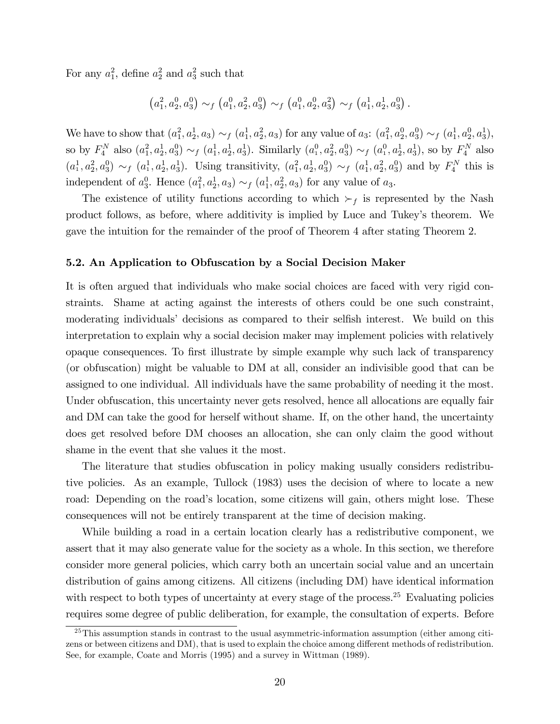For any  $a_1^2$ , define  $a_2^2$  and  $a_3^2$  such that

$$
(a_1^2, a_2^0, a_3^0) \sim_f (a_1^0, a_2^2, a_3^0) \sim_f (a_1^0, a_2^0, a_3^2) \sim_f (a_1^1, a_2^1, a_3^0).
$$

We have to show that  $(a_1^2, a_2^1, a_3) \sim_f (a_1^1, a_2^2, a_3)$  for any value of  $a_3: (a_1^2, a_2^0, a_3^0) \sim_f (a_1^1, a_2^0, a_3^1)$ , so by  $F_4^N$  also  $(a_1^2, a_2^1, a_3^0) \sim_f (a_1^1, a_2^1, a_3^1)$ . Similarly  $(a_1^0, a_2^2, a_3^0) \sim_f (a_1^0, a_2^1, a_3^1)$ , so by  $F_4^N$  also  $(a_1^1, a_2^2, a_3^0) \sim_f (a_1^1, a_2^1, a_3^1)$ . Using transitivity,  $(a_1^2, a_2^1, a_3^0) \sim_f (a_1^1, a_2^2, a_3^0)$  and by  $F_4^N$  this is independent of  $a_3^0$ . Hence  $(a_1^2, a_2^1, a_3) \sim_f (a_1^1, a_2^2, a_3)$  for any value of  $a_3$ .

The existence of utility functions according to which  $\succ_f$  is represented by the Nash product follows, as before, where additivity is implied by Luce and Tukey's theorem. We gave the intuition for the remainder of the proof of Theorem 4 after stating Theorem 2.

#### 5.2. An Application to Obfuscation by a Social Decision Maker

It is often argued that individuals who make social choices are faced with very rigid constraints. Shame at acting against the interests of others could be one such constraint, moderating individuals' decisions as compared to their selfish interest. We build on this interpretation to explain why a social decision maker may implement policies with relatively opaque consequences. To first illustrate by simple example why such lack of transparency (or obfuscation) might be valuable to DM at all, consider an indivisible good that can be assigned to one individual. All individuals have the same probability of needing it the most. Under obfuscation, this uncertainty never gets resolved, hence all allocations are equally fair and DM can take the good for herself without shame. If, on the other hand, the uncertainty does get resolved before DM chooses an allocation, she can only claim the good without shame in the event that she values it the most.

The literature that studies obfuscation in policy making usually considers redistributive policies. As an example, Tullock (1983) uses the decision of where to locate a new road: Depending on the road's location, some citizens will gain, others might lose. These consequences will not be entirely transparent at the time of decision making.

While building a road in a certain location clearly has a redistributive component, we assert that it may also generate value for the society as a whole. In this section, we therefore consider more general policies, which carry both an uncertain social value and an uncertain distribution of gains among citizens. All citizens (including DM) have identical information with respect to both types of uncertainty at every stage of the process.<sup>25</sup> Evaluating policies requires some degree of public deliberation, for example, the consultation of experts. Before

 $25$ This assumption stands in contrast to the usual asymmetric-information assumption (either among citizens or between citizens and DM), that is used to explain the choice among different methods of redistribution. See, for example, Coate and Morris (1995) and a survey in Wittman (1989).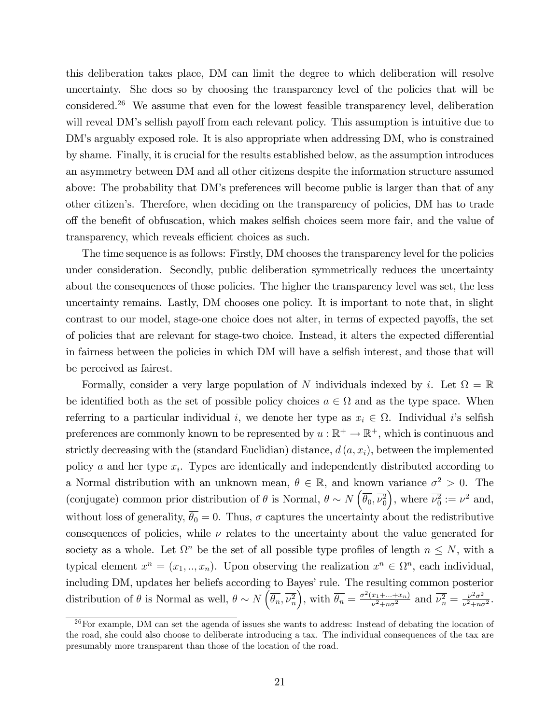this deliberation takes place, DM can limit the degree to which deliberation will resolve uncertainty. She does so by choosing the transparency level of the policies that will be considered.<sup>26</sup> We assume that even for the lowest feasible transparency level, deliberation will reveal DM's selfish payoff from each relevant policy. This assumption is intuitive due to DM's arguably exposed role. It is also appropriate when addressing DM, who is constrained by shame. Finally, it is crucial for the results established below, as the assumption introduces an asymmetry between DM and all other citizens despite the information structure assumed above: The probability that DM's preferences will become public is larger than that of any other citizenís. Therefore, when deciding on the transparency of policies, DM has to trade off the benefit of obfuscation, which makes selfish choices seem more fair, and the value of transparency, which reveals efficient choices as such.

The time sequence is as follows: Firstly, DM chooses the transparency level for the policies under consideration. Secondly, public deliberation symmetrically reduces the uncertainty about the consequences of those policies. The higher the transparency level was set, the less uncertainty remains. Lastly, DM chooses one policy. It is important to note that, in slight contrast to our model, stage-one choice does not alter, in terms of expected payoffs, the set of policies that are relevant for stage-two choice. Instead, it alters the expected differential in fairness between the policies in which DM will have a selfish interest, and those that will be perceived as fairest.

Formally, consider a very large population of N individuals indexed by i. Let  $\Omega = \mathbb{R}$ be identified both as the set of possible policy choices  $a \in \Omega$  and as the type space. When referring to a particular individual *i*, we denote her type as  $x_i \in \Omega$ . Individual *i*'s selfish preferences are commonly known to be represented by  $u : \mathbb{R}^+ \to \mathbb{R}^+$ , which is continuous and strictly decreasing with the (standard Euclidian) distance,  $d(a, x_i)$ , between the implemented policy a and her type  $x_i$ . Types are identically and independently distributed according to a Normal distribution with an unknown mean,  $\theta \in \mathbb{R}$ , and known variance  $\sigma^2 > 0$ . The (conjugate) common prior distribution of  $\theta$  is Normal,  $\theta \sim N\left(\overline{\theta_0}, \overline{\nu_0^2}\right)$ ), where  $\overline{\nu_0^2} := \nu^2$  and, without loss of generality,  $\overline{\theta_0} = 0$ . Thus,  $\sigma$  captures the uncertainty about the redistributive consequences of policies, while  $\nu$  relates to the uncertainty about the value generated for society as a whole. Let  $\Omega^n$  be the set of all possible type profiles of length  $n \leq N$ , with a typical element  $x^n = (x_1, ..., x_n)$ . Upon observing the realization  $x^n \in \Omega^n$ , each individual, including DM, updates her beliefs according to Bayes' rule. The resulting common posterior distribution of  $\theta$  is Normal as well,  $\theta \sim N \left( \overline{\theta_n}, \overline{\nu_n^2} \right)$ , with  $\overline{\theta_n} = \frac{\sigma^2(x_1 + ... + x_n)}{\nu^2 + n\sigma^2}$  $\frac{x_1 + ... + x_n}{\nu^2 + n\sigma^2}$  and  $\overline{\nu_n^2} = \frac{\nu^2 \sigma^2}{\nu^2 + n\sigma^2}$  $\frac{\nu^2 \sigma^2}{\nu^2+n\sigma^2}$ .

<sup>26</sup>For example, DM can set the agenda of issues she wants to address: Instead of debating the location of the road, she could also choose to deliberate introducing a tax. The individual consequences of the tax are presumably more transparent than those of the location of the road.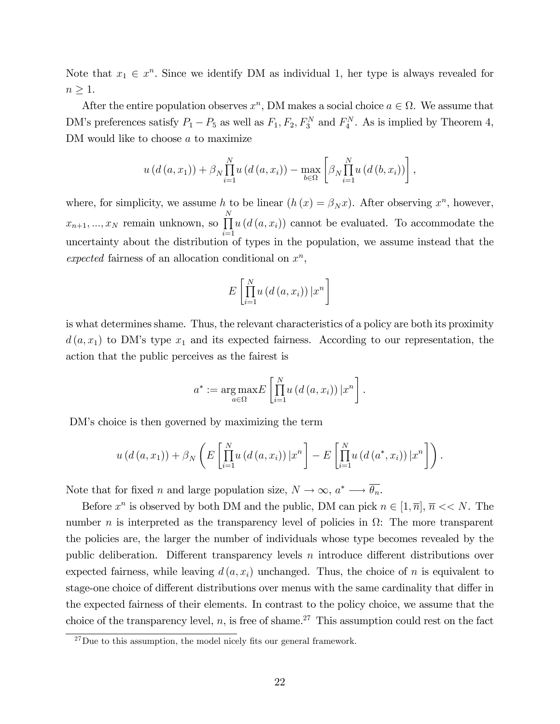Note that  $x_1 \in \mathbb{R}^n$ . Since we identify DM as individual 1, her type is always revealed for  $n \geq 1$ .

After the entire population observes  $x^n$ , DM makes a social choice  $a \in \Omega$ . We assume that DM's preferences satisfy  $P_1 - P_5$  as well as  $F_1, F_2, F_3^N$  and  $F_4^N$ . As is implied by Theorem 4, DM would like to choose a to maximize

$$
u(d(a, x_1)) + \beta_N \prod_{i=1}^N u(d(a, x_i)) - \max_{b \in \Omega} \left[ \beta_N \prod_{i=1}^N u(d(b, x_i)) \right],
$$

where, for simplicity, we assume h to be linear  $(h(x) = \beta_N x)$ . After observing  $x^n$ , however,  $x_{n+1},..., x_N$  remain unknown, so  $\prod^N$  $i=1$  $u(d(a, x_i))$  cannot be evaluated. To accommodate the uncertainty about the distribution of types in the population, we assume instead that the expected fairness of an allocation conditional on  $x^n$ ,

$$
E\left[\prod_{i=1}^{N} u\left(d\left(a, x_{i}\right)\right) | x^{n}\right]
$$

is what determines shame. Thus, the relevant characteristics of a policy are both its proximity  $d(a, x_1)$  to DM's type  $x_1$  and its expected fairness. According to our representation, the action that the public perceives as the fairest is

$$
a^* := \underset{a \in \Omega}{\arg \max} E\left[\prod_{i=1}^N u\left(d\left(a, x_i\right)\right) \vert x^n\right].
$$

DM's choice is then governed by maximizing the term

$$
u(d(a,x_1))+\beta_N\left(E\left[\prod_{i=1}^N u(d(a,x_i))\big|x^n\right]-E\left[\prod_{i=1}^N u(d(a^*,x_i))\big|x^n\right]\right).
$$

Note that for fixed *n* and large population size,  $N \to \infty$ ,  $a^* \longrightarrow \overline{\theta_n}$ .

Before  $x^n$  is observed by both DM and the public, DM can pick  $n \in [1, \overline{n}]$ ,  $\overline{n} \ll N$ . The number *n* is interpreted as the transparency level of policies in  $\Omega$ : The more transparent the policies are, the larger the number of individuals whose type becomes revealed by the public deliberation. Different transparency levels  $n$  introduce different distributions over expected fairness, while leaving  $d(a, x_i)$  unchanged. Thus, the choice of n is equivalent to stage-one choice of different distributions over menus with the same cardinality that differ in the expected fairness of their elements. In contrast to the policy choice, we assume that the choice of the transparency level,  $n$ , is free of shame.<sup>27</sup> This assumption could rest on the fact

 $^{27}$ Due to this assumption, the model nicely fits our general framework.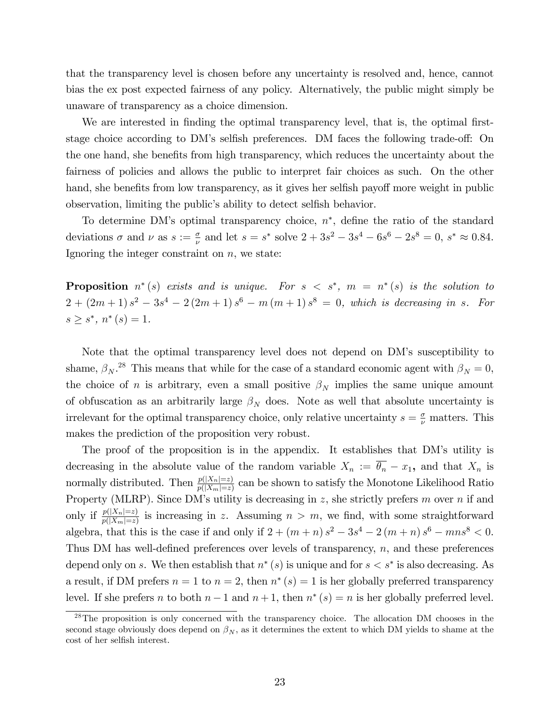that the transparency level is chosen before any uncertainty is resolved and, hence, cannot bias the ex post expected fairness of any policy. Alternatively, the public might simply be unaware of transparency as a choice dimension.

We are interested in finding the optimal transparency level, that is, the optimal firststage choice according to DM's selfish preferences. DM faces the following trade-off: On the one hand, she benefits from high transparency, which reduces the uncertainty about the fairness of policies and allows the public to interpret fair choices as such. On the other hand, she benefits from low transparency, as it gives her selfish payoff more weight in public observation, limiting the public's ability to detect selfish behavior.

To determine DM's optimal transparency choice,  $n^*$ , define the ratio of the standard deviations  $\sigma$  and  $\nu$  as  $s := \frac{\sigma}{\nu}$  and let  $s = s^*$  solve  $2 + 3s^2 - 3s^4 - 6s^6 - 2s^8 = 0$ ,  $s^* \approx 0.84$ . Ignoring the integer constraint on  $n$ , we state:

**Proposition**  $n^*(s)$  exists and is unique. For  $s < s^*$ ,  $m = n^*(s)$  is the solution to  $2 + (2m+1) s<sup>2</sup> - 3s<sup>4</sup> - 2(2m+1) s<sup>6</sup> - m(m+1) s<sup>8</sup> = 0$ , which is decreasing in s. For  $s \geq s^*$ ,  $n^*(s) = 1$ .

Note that the optimal transparency level does not depend on DMís susceptibility to shame,  $\beta_N$ .<sup>28</sup> This means that while for the case of a standard economic agent with  $\beta_N = 0$ , the choice of *n* is arbitrary, even a small positive  $\beta_N$  implies the same unique amount of obfuscation as an arbitrarily large  $\beta_N$  does. Note as well that absolute uncertainty is irrelevant for the optimal transparency choice, only relative uncertainty  $s = \frac{\sigma}{\nu}$  matters. This makes the prediction of the proposition very robust.

The proof of the proposition is in the appendix. It establishes that DM's utility is decreasing in the absolute value of the random variable  $X_n := \overline{\theta_n} - x_1$ , and that  $X_n$  is normally distributed. Then  $\frac{p(|X_n|=z)}{p(|X_m|=z)}$  can be shown to satisfy the Monotone Likelihood Ratio Property (MLRP). Since DM's utility is decreasing in z, she strictly prefers  $m$  over  $n$  if and only if  $\frac{p(|X_n|=z)}{p(|X_m|=z)}$  is increasing in z. Assuming  $n > m$ , we find, with some straightforward algebra, that this is the case if and only if  $2 + (m+n) s^2 - 3s^4 - 2(m+n) s^6 - mns^8 < 0$ . Thus DM has well-defined preferences over levels of transparency,  $n$ , and these preferences depend only on s. We then establish that  $n^*(s)$  is unique and for  $s < s^*$  is also decreasing. As a result, if DM prefers  $n = 1$  to  $n = 2$ , then  $n^*(s) = 1$  is her globally preferred transparency level. If she prefers *n* to both  $n-1$  and  $n+1$ , then  $n^*(s) = n$  is her globally preferred level.

 $^{28}$ The proposition is only concerned with the transparency choice. The allocation DM chooses in the second stage obviously does depend on  $\beta_N$ , as it determines the extent to which DM yields to shame at the cost of her selfish interest.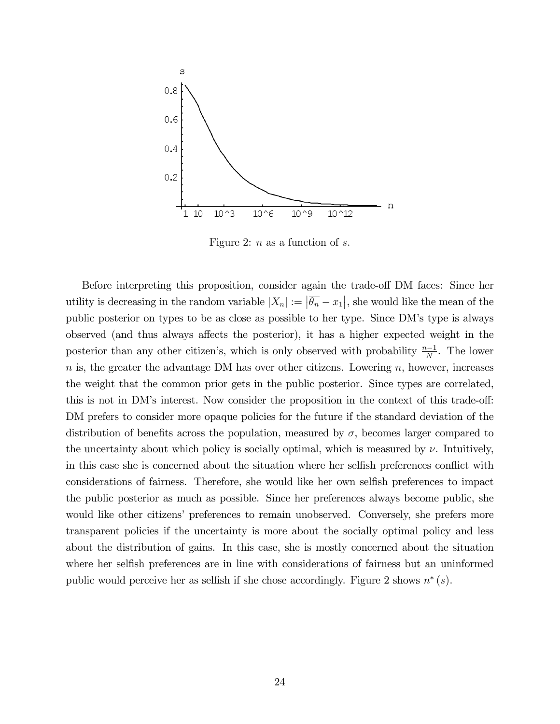

Figure 2:  $n$  as a function of  $s$ .

Before interpreting this proposition, consider again the trade-off DM faces: Since her utility is decreasing in the random variable  $|X_n| := |\overline{\theta_n} - x_1|$ , she would like the mean of the public posterior on types to be as close as possible to her type. Since DMís type is always observed (and thus always affects the posterior), it has a higher expected weight in the posterior than any other citizen's, which is only observed with probability  $\frac{n-1}{N}$ . The lower  $n$  is, the greater the advantage DM has over other citizens. Lowering  $n$ , however, increases the weight that the common prior gets in the public posterior. Since types are correlated, this is not in DM's interest. Now consider the proposition in the context of this trade-off: DM prefers to consider more opaque policies for the future if the standard deviation of the distribution of benefits across the population, measured by  $\sigma$ , becomes larger compared to the uncertainty about which policy is socially optimal, which is measured by  $\nu$ . Intuitively, in this case she is concerned about the situation where her selfish preferences conflict with considerations of fairness. Therefore, she would like her own selfish preferences to impact the public posterior as much as possible. Since her preferences always become public, she would like other citizens' preferences to remain unobserved. Conversely, she prefers more transparent policies if the uncertainty is more about the socially optimal policy and less about the distribution of gains. In this case, she is mostly concerned about the situation where her selfish preferences are in line with considerations of fairness but an uninformed public would perceive her as selfish if she chose accordingly. Figure 2 shows  $n^*(s)$ .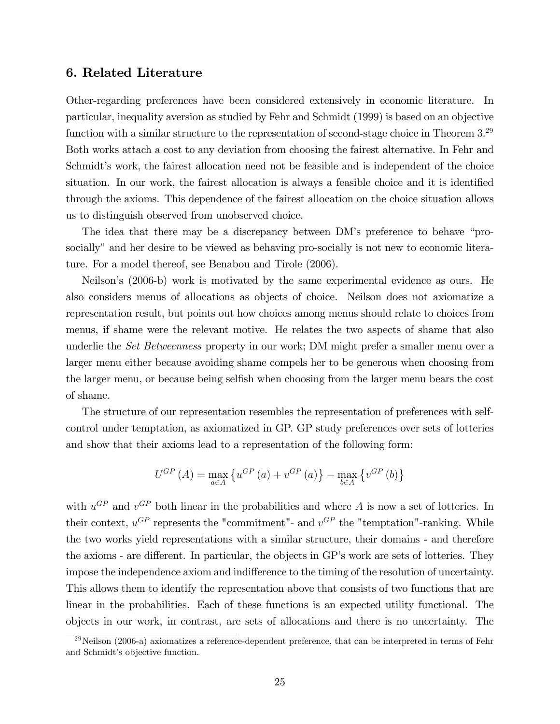## 6. Related Literature

Other-regarding preferences have been considered extensively in economic literature. In particular, inequality aversion as studied by Fehr and Schmidt (1999) is based on an objective function with a similar structure to the representation of second-stage choice in Theorem 3.<sup>29</sup> Both works attach a cost to any deviation from choosing the fairest alternative. In Fehr and Schmidt's work, the fairest allocation need not be feasible and is independent of the choice situation. In our work, the fairest allocation is always a feasible choice and it is identified through the axioms. This dependence of the fairest allocation on the choice situation allows us to distinguish observed from unobserved choice.

The idea that there may be a discrepancy between DM's preference to behave "prosocially" and her desire to be viewed as behaving pro-socially is not new to economic literature. For a model thereof, see Benabou and Tirole (2006).

Neilson's (2006-b) work is motivated by the same experimental evidence as ours. He also considers menus of allocations as objects of choice. Neilson does not axiomatize a representation result, but points out how choices among menus should relate to choices from menus, if shame were the relevant motive. He relates the two aspects of shame that also underlie the Set Betweenness property in our work; DM might prefer a smaller menu over a larger menu either because avoiding shame compels her to be generous when choosing from the larger menu, or because being selfish when choosing from the larger menu bears the cost of shame.

The structure of our representation resembles the representation of preferences with selfcontrol under temptation, as axiomatized in GP. GP study preferences over sets of lotteries and show that their axioms lead to a representation of the following form:

$$
U^{GP}(A) = \max_{a \in A} \left\{ u^{GP}(a) + v^{GP}(a) \right\} - \max_{b \in A} \left\{ v^{GP}(b) \right\}
$$

with  $u^{GP}$  and  $v^{GP}$  both linear in the probabilities and where A is now a set of lotteries. In their context,  $u^{GP}$  represents the "commitment"- and  $v^{GP}$  the "temptation"-ranking. While the two works yield representations with a similar structure, their domains - and therefore the axioms - are different. In particular, the objects in GP's work are sets of lotteries. They impose the independence axiom and indifference to the timing of the resolution of uncertainty. This allows them to identify the representation above that consists of two functions that are linear in the probabilities. Each of these functions is an expected utility functional. The objects in our work, in contrast, are sets of allocations and there is no uncertainty. The

 $^{29}$ Neilson (2006-a) axiomatizes a reference-dependent preference, that can be interpreted in terms of Fehr and Schmidt's objective function.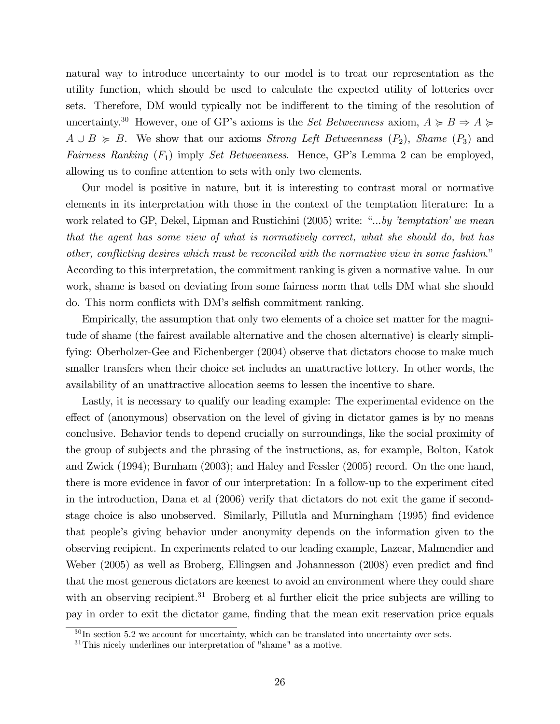natural way to introduce uncertainty to our model is to treat our representation as the utility function, which should be used to calculate the expected utility of lotteries over sets. Therefore, DM would typically not be indifferent to the timing of the resolution of uncertainty.<sup>30</sup> However, one of GP's axioms is the *Set Betweenness* axiom,  $A \ge B \Rightarrow A \ge$  $A \cup B \geq B$ . We show that our axioms *Strong Left Betweenness*  $(P_2)$ , *Shame*  $(P_3)$  and Fairness Ranking  $(F_1)$  imply Set Betweenness. Hence, GP's Lemma 2 can be employed, allowing us to confine attention to sets with only two elements.

Our model is positive in nature, but it is interesting to contrast moral or normative elements in its interpretation with those in the context of the temptation literature: In a work related to GP, Dekel, Lipman and Rustichini (2005) write: "...by 'temptation' we mean that the agent has some view of what is normatively correct, what she should do, but has other, conflicting desires which must be reconciled with the normative view in some fashion." According to this interpretation, the commitment ranking is given a normative value. In our work, shame is based on deviating from some fairness norm that tells DM what she should do. This norm conflicts with DM's selfish commitment ranking.

Empirically, the assumption that only two elements of a choice set matter for the magnitude of shame (the fairest available alternative and the chosen alternative) is clearly simplifying: Oberholzer-Gee and Eichenberger (2004) observe that dictators choose to make much smaller transfers when their choice set includes an unattractive lottery. In other words, the availability of an unattractive allocation seems to lessen the incentive to share.

Lastly, it is necessary to qualify our leading example: The experimental evidence on the effect of (anonymous) observation on the level of giving in dictator games is by no means conclusive. Behavior tends to depend crucially on surroundings, like the social proximity of the group of subjects and the phrasing of the instructions, as, for example, Bolton, Katok and Zwick (1994); Burnham (2003); and Haley and Fessler (2005) record. On the one hand, there is more evidence in favor of our interpretation: In a follow-up to the experiment cited in the introduction, Dana et al (2006) verify that dictators do not exit the game if secondstage choice is also unobserved. Similarly, Pillutla and Murningham (1995) find evidence that people's giving behavior under anonymity depends on the information given to the observing recipient. In experiments related to our leading example, Lazear, Malmendier and Weber (2005) as well as Broberg, Ellingsen and Johannesson (2008) even predict and find that the most generous dictators are keenest to avoid an environment where they could share with an observing recipient.<sup>31</sup> Broberg et al further elicit the price subjects are willing to pay in order to exit the dictator game, finding that the mean exit reservation price equals

 $30 \text{ In section } 5.2$  we account for uncertainty, which can be translated into uncertainty over sets.

 $31$ This nicely underlines our interpretation of "shame" as a motive.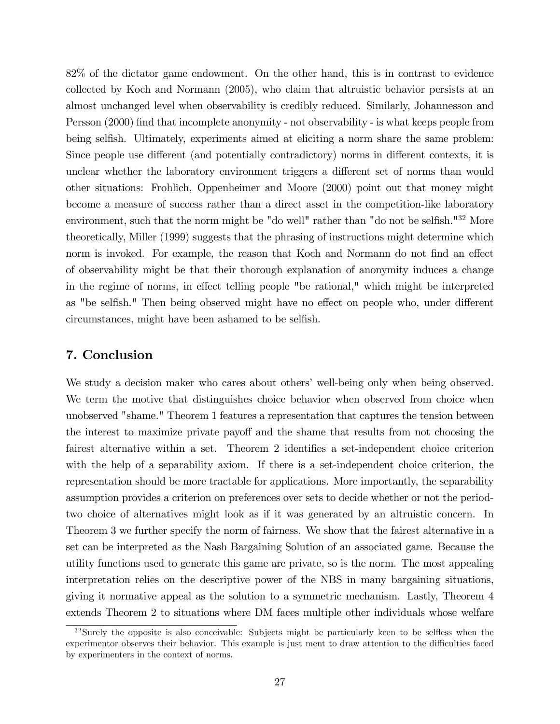82% of the dictator game endowment. On the other hand, this is in contrast to evidence collected by Koch and Normann (2005), who claim that altruistic behavior persists at an almost unchanged level when observability is credibly reduced. Similarly, Johannesson and Persson (2000) find that incomplete anonymity - not observability - is what keeps people from being selfish. Ultimately, experiments aimed at eliciting a norm share the same problem: Since people use different (and potentially contradictory) norms in different contexts, it is unclear whether the laboratory environment triggers a different set of norms than would other situations: Frohlich, Oppenheimer and Moore (2000) point out that money might become a measure of success rather than a direct asset in the competition-like laboratory environment, such that the norm might be "do well" rather than "do not be selfish."<sup>32</sup> More theoretically, Miller (1999) suggests that the phrasing of instructions might determine which norm is invoked. For example, the reason that Koch and Normann do not find an effect of observability might be that their thorough explanation of anonymity induces a change in the regime of norms, in effect telling people "be rational," which might be interpreted as "be selfish." Then being observed might have no effect on people who, under different circumstances, might have been ashamed to be selfish.

## 7. Conclusion

We study a decision maker who cares about others' well-being only when being observed. We term the motive that distinguishes choice behavior when observed from choice when unobserved "shame." Theorem 1 features a representation that captures the tension between the interest to maximize private payoff and the shame that results from not choosing the fairest alternative within a set. Theorem 2 identifies a set-independent choice criterion with the help of a separability axiom. If there is a set-independent choice criterion, the representation should be more tractable for applications. More importantly, the separability assumption provides a criterion on preferences over sets to decide whether or not the periodtwo choice of alternatives might look as if it was generated by an altruistic concern. In Theorem 3 we further specify the norm of fairness. We show that the fairest alternative in a set can be interpreted as the Nash Bargaining Solution of an associated game. Because the utility functions used to generate this game are private, so is the norm. The most appealing interpretation relies on the descriptive power of the NBS in many bargaining situations, giving it normative appeal as the solution to a symmetric mechanism. Lastly, Theorem 4 extends Theorem 2 to situations where DM faces multiple other individuals whose welfare

 $32$ Surely the opposite is also conceivable: Subjects might be particularly keen to be selfless when the experimentor observes their behavior. This example is just ment to draw attention to the difficulties faced by experimenters in the context of norms.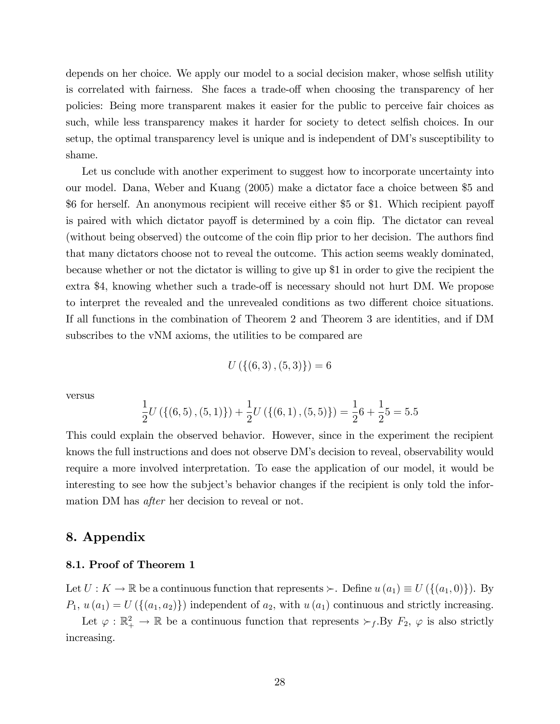depends on her choice. We apply our model to a social decision maker, whose selfish utility is correlated with fairness. She faces a trade-off when choosing the transparency of her policies: Being more transparent makes it easier for the public to perceive fair choices as such, while less transparency makes it harder for society to detect selfish choices. In our setup, the optimal transparency level is unique and is independent of DMís susceptibility to shame.

Let us conclude with another experiment to suggest how to incorporate uncertainty into our model. Dana, Weber and Kuang (2005) make a dictator face a choice between \$5 and \$6 for herself. An anonymous recipient will receive either \$5 or \$1. Which recipient payoff is paired with which dictator payoff is determined by a coin flip. The dictator can reveal (without being observed) the outcome of the coin flip prior to her decision. The authors find that many dictators choose not to reveal the outcome. This action seems weakly dominated, because whether or not the dictator is willing to give up \$1 in order to give the recipient the extra \$4, knowing whether such a trade-off is necessary should not hurt DM. We propose to interpret the revealed and the unrevealed conditions as two different choice situations. If all functions in the combination of Theorem 2 and Theorem 3 are identities, and if DM subscribes to the vNM axioms, the utilities to be compared are

$$
U\left( \left\{ \left( 6,3\right) ,\left( 5,3\right) \right\} \right) =6
$$

versus

$$
\frac{1}{2}U(\{(6,5), (5,1)\}) + \frac{1}{2}U(\{(6,1), (5,5)\}) = \frac{1}{2}6 + \frac{1}{2}5 = 5.5
$$

This could explain the observed behavior. However, since in the experiment the recipient knows the full instructions and does not observe DM's decision to reveal, observability would require a more involved interpretation. To ease the application of our model, it would be interesting to see how the subject's behavior changes if the recipient is only told the information DM has *after* her decision to reveal or not.

## 8. Appendix

#### 8.1. Proof of Theorem 1

Let  $U: K \to \mathbb{R}$  be a continuous function that represents  $\succ$ . Define  $u(a_1) \equiv U(\{(a_1, 0)\})$ . By  $P_1, u(a_1) = U(\{(a_1, a_2)\})$  independent of  $a_2$ , with  $u(a_1)$  continuous and strictly increasing.

Let  $\varphi : \mathbb{R}_+^2 \to \mathbb{R}$  be a continuous function that represents  $\succ_f$ . By  $F_2$ ,  $\varphi$  is also strictly increasing.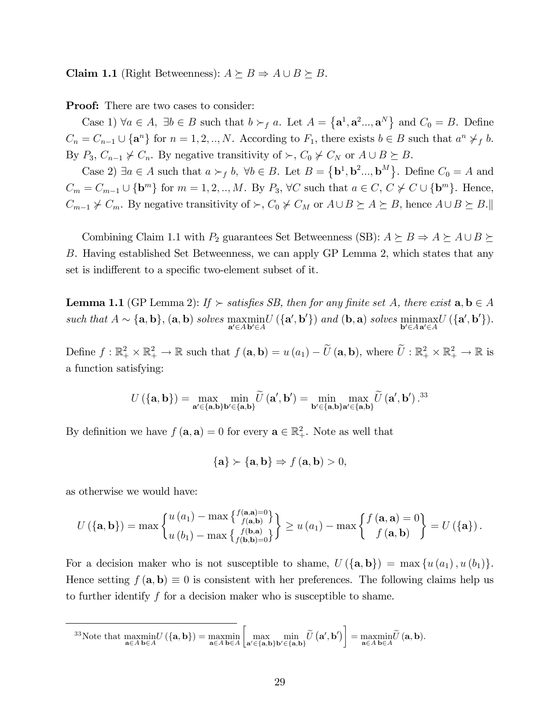**Claim 1.1** (Right Betweenness):  $A \succeq B \Rightarrow A \cup B \succeq B$ .

**Proof:** There are two cases to consider:

Case 1)  $\forall a \in A, \exists b \in B$  such that  $b \succ_f a$ . Let  $A = {\mathbf{a}^1, \mathbf{a}^2..., \mathbf{a}^N}$  and  $C_0 = B$ . Define  $C_n = C_{n-1} \cup \{a^n\}$  for  $n = 1, 2, ..., N$ . According to  $F_1$ , there exists  $b \in B$  such that  $a^n \nsucc_f b$ . By  $P_3$ ,  $C_{n-1} \nsucc C_n$ . By negative transitivity of  $\succ$ ,  $C_0 \nsucc C_N$  or  $A \cup B \succeq B$ .

Case 2)  $\exists a \in A$  such that  $a \succ_f b$ ,  $\forall b \in B$ . Let  $B = {\mathbf{b}^1, \mathbf{b}^2..., \mathbf{b}^M}$ . Define  $C_0 = A$  and  $C_m = C_{m-1} \cup \{\mathbf{b}^m\}$  for  $m = 1, 2, ..., M$ . By  $P_3$ ,  $\forall C$  such that  $a \in C, C \not\prec C \cup \{\mathbf{b}^m\}$ . Hence,  $C_{m-1} \nless C_m$ . By negative transitivity of  $\succ$ ,  $C_0 \nless C_M$  or  $A \cup B \succeq A \succeq B$ , hence  $A \cup B \succeq B$ .

Combining Claim 1.1 with  $P_2$  guarantees Set Betweenness (SB):  $A \succeq B \Rightarrow A \succeq A \cup B \succeq$ B. Having established Set Betweenness, we can apply GP Lemma 2, which states that any set is indifferent to a specific two-element subset of it.

**Lemma 1.1** (GP Lemma 2): If  $\succ$  satisfies SB, then for any finite set A, there exist  $\mathbf{a}, \mathbf{b} \in A$ such that  $A \sim \{a, b\}$ ,  $(a, b)$  solves  $\operatorname*{maxmin}_{a' \in Ab' \in A} U(\{a', b'\})$  and  $(b, a)$  solves  $\operatorname*{minmax}_{b' \in A} U(\{a', b'\})$ .

Define  $f: \mathbb{R}_+^2 \times \mathbb{R}_+^2 \to \mathbb{R}$  such that  $f(\mathbf{a}, \mathbf{b}) = u(a_1) - \widetilde{U}(\mathbf{a}, \mathbf{b})$ , where  $\widetilde{U}: \mathbb{R}_+^2 \times \mathbb{R}_+^2 \to \mathbb{R}$  is a function satisfying:

$$
U\left(\{\mathbf{a},\mathbf{b}\}\right) = \max_{\mathbf{a}' \in \{\mathbf{a},\mathbf{b}\}\mathbf{b}' \in \{\mathbf{a},\mathbf{b}\}} \widetilde{U}\left(\mathbf{a}',\mathbf{b}'\right) = \min_{\mathbf{b}' \in \{\mathbf{a},\mathbf{b}\}\mathbf{a}' \in \{\mathbf{a},\mathbf{b}\}} \max_{\mathbf{a} \in \{\mathbf{a},\mathbf{b}\}} \widetilde{U}\left(\mathbf{a}',\mathbf{b}'\right).^{33}
$$

By definition we have  $f(\mathbf{a}, \mathbf{a}) = 0$  for every  $\mathbf{a} \in \mathbb{R}^2_+$ . Note as well that

$$
\{\mathbf a\} \succ \{\mathbf a, \mathbf b\} \Rightarrow f(\mathbf a, \mathbf b) > 0,
$$

as otherwise we would have:

$$
U\left(\{\mathbf{a},\mathbf{b}\}\right) = \max\begin{Bmatrix} u\left(a_{1}\right) - \max\left\{\frac{f(\mathbf{a},\mathbf{a}) - 0}{f(\mathbf{a},\mathbf{b})}\right\} \\ u\left(b_{1}\right) - \max\left\{\frac{f(\mathbf{b},\mathbf{a})}{f(\mathbf{b},\mathbf{b}) - 0}\right\} \end{Bmatrix} \geq u\left(a_{1}\right) - \max\begin{Bmatrix} f\left(\mathbf{a},\mathbf{a}\right) = 0 \\ f\left(\mathbf{a},\mathbf{b}\right) \end{Bmatrix} = U\left(\{\mathbf{a}\}\right).
$$

For a decision maker who is not susceptible to shame,  $U(\{a,b\}) = \max\{u(a_1),u(b_1)\}.$ Hence setting  $f(\mathbf{a}, \mathbf{b}) \equiv 0$  is consistent with her preferences. The following claims help us to further identify f for a decision maker who is susceptible to shame.

<sup>33</sup>Note that  $\max_{\mathbf{a}\in A} \min_{\mathbf{b}\in A} U(\{\mathbf{a},\mathbf{b}\}) = \max_{\mathbf{a}\in A} \min_{\mathbf{b}\in A}$  $\sqrt{ }$  $\max_{\mathbf{a}' \in \{\mathbf{a},\mathbf{b}\}\mathbf{b}' \in \{\mathbf{a},\mathbf{b}\}} \widetilde{U}\left(\mathbf{a}',\mathbf{b}'\right)$  $=\underset{\mathbf{a}\in A}{\operatorname{maxmin}}\widetilde{U}\left(\mathbf{a},\mathbf{b}\right).$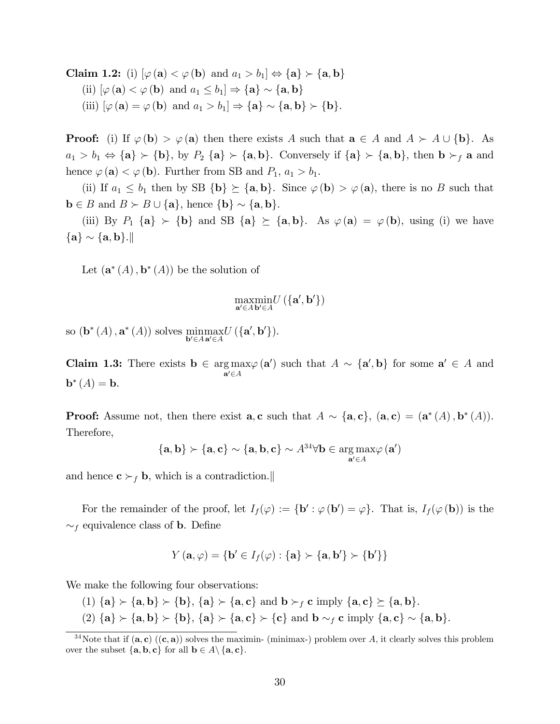**Claim 1.2:** (i)  $[\varphi(\mathbf{a}) \leq \varphi(\mathbf{b}) \text{ and } a_1 > b_1] \Leftrightarrow {\mathbf{a}} \succ {\mathbf{a}}, \mathbf{b}$ (ii)  $[\varphi(\mathbf{a}) \leq \varphi(\mathbf{b}) \text{ and } a_1 \leq b_1] \Rightarrow {\mathbf{a}} \sim {\mathbf{a}, \mathbf{b}}$ (iii)  $[\varphi(\mathbf{a}) = \varphi(\mathbf{b}) \text{ and } a_1 > b_1] \Rightarrow {\mathbf{a}} \setminus {\mathbf{a}}, \mathbf{b} \succ {\mathbf{b}}.$ 

**Proof:** (i) If  $\varphi$  (b)  $> \varphi$  (a) then there exists A such that  $\mathbf{a} \in A$  and  $A \succ A \cup \{\mathbf{b}\}\$ . As  $a_1 > b_1 \Leftrightarrow {\bf{a}} \succ {\bf{b}}, \text{ by } P_2 {\bf{a}} \succ {\bf{a}}, {\bf{b}}.$  Conversely if  ${\bf{a}} \succ {\bf{a}}, {\bf{b}}$ , then  ${\bf{b}} \succ_f {\bf{a}}$  and hence  $\varphi(\mathbf{a}) < \varphi(\mathbf{b})$ . Further from SB and  $P_1$ ,  $a_1 > b_1$ .

(ii) If  $a_1 \leq b_1$  then by SB  $\{b\} \succeq \{a, b\}$ . Since  $\varphi(b) > \varphi(a)$ , there is no B such that  $\mathbf{b} \in B$  and  $B \succ B \cup \{\mathbf{a}\}\text{, hence } \{\mathbf{b}\} \sim \{\mathbf{a}, \mathbf{b}\}.$ 

(iii) By  $P_1$  {a}  $\succ$  {b} and SB {a}  $\succeq$  {a, b}. As  $\varphi$  (a) =  $\varphi$  (b), using (i) we have  ${a} \sim {a, b}.$ 

Let  $(\mathbf{a}^*(A), \mathbf{b}^*(A))$  be the solution of

$$
\underset{\mathbf{a}'\in A}{\operatorname{maxmin}}U\left(\{\mathbf{a}',\mathbf{b}'\}\right)
$$

so  $(\mathbf{b}^*(A), \mathbf{a}^*(A))$  solves  $\underset{\mathbf{b}' \in A}{\text{minmax}} U (\{\mathbf{a}', \mathbf{b}'\}).$ 

Claim 1.3: There exists  $b \in \arg \max$  $\mathbf{a}'\in A$  $\varphi(\mathbf{a}')$  such that  $A \sim {\mathbf{a}', \mathbf{b}}$  for some  $\mathbf{a}' \in A$  and  $$ 

**Proof:** Assume not, then there exist  $\mathbf{a}, \mathbf{c}$  such that  $A \sim \{\mathbf{a}, \mathbf{c}\}, \ (\mathbf{a}, \mathbf{c}) = (\mathbf{a}^*(A), \mathbf{b}^*(A)).$ Therefore,

$$
\{{\mathbf a}, {\mathbf b}\} \succ \{{\mathbf a}, {\mathbf c}\} \sim \{{\mathbf a}, {\mathbf b}, {\mathbf c}\} \sim \mathit{A}^{34} \forall {\mathbf b} \in \mathop{\arg\max}_{{\mathbf a}' \in \mathit{A}} \varphi\left({\mathbf a}'\right)
$$

and hence  $\mathbf{c} \succ_f \mathbf{b}$ , which is a contradiction.

For the remainder of the proof, let  $I_f(\varphi) := {\bf b}' : \varphi({\bf b}') = \varphi$ . That is,  $I_f(\varphi({\bf b}))$  is the  $\sim_f$  equivalence class of **b**. Define

$$
Y(\mathbf{a},\varphi) = {\mathbf{b}' \in I_f(\varphi) : \{\mathbf{a}\} \succ {\mathbf{a},\mathbf{b}'} \succ {\mathbf{b}'}\}
$$

We make the following four observations:

- (1)  ${a} \succ {a}$ ,  $b$   $> {b}$ ,  ${a} \succ {a}$ ,  $c$  and  $b \succ_f c$  imply  ${a}$ ,  $c$   $\succeq {a}$ ,  $b$ .
- (2)  ${a} \succ {a,b} \succ {b}$ ,  ${a} \succ {a,c} \succ {c}$  and  $b \sim_f c$  imply  ${a,c} \sim {a,b}$ .

 $34$ Note that if  $(a, c)$   $((c, a))$  solves the maximin- (minimax-) problem over A, it clearly solves this problem over the subset  $\{a, b, c\}$  for all  $b \in A \setminus \{a, c\}.$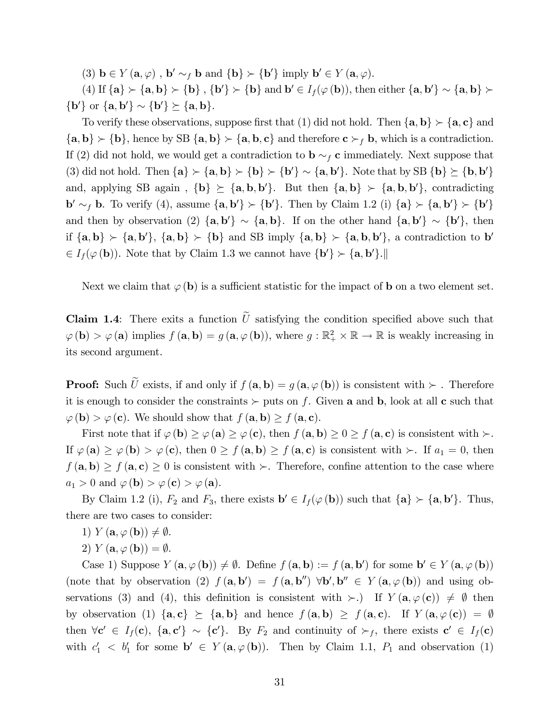(3)  $\mathbf{b} \in Y(\mathbf{a}, \varphi)$ ,  $\mathbf{b}' \sim_f \mathbf{b}$  and  $\{\mathbf{b}\}\succ \{\mathbf{b}'\}$  imply  $\mathbf{b}' \in Y(\mathbf{a}, \varphi)$ .

(4) If  $\{a\} \succ \{a, b\} \succ \{b\}$ ,  $\{b'\} \succ \{b\}$  and  $b' \in I_f(\varphi(b))$ , then either  $\{a, b'\} \sim \{a, b\} \succ \{b\}$  ${b'}$  or  ${a, b'} \sim {b'} \succeq {a, b}.$ 

To verify these observations, suppose first that (1) did not hold. Then  ${a, b} \succ {a, c}$  and  ${a, b} \succ {b}$ , hence by SB  ${a, b} \succ {a, b, c}$  and therefore  $c \succ_f b$ , which is a contradiction. If (2) did not hold, we would get a contradiction to  $\mathbf{b} \sim_f \mathbf{c}$  immediately. Next suppose that (3) did not hold. Then  $\{a\} \succ \{a, b\} \succ \{b\} \succ \{b'\} \sim \{a, b'\}$ . Note that by SB  $\{b\} \succeq \{b, b'\}$ and, applying SB again,  $\{b\} \succeq \{a, b, b'\}$ . But then  $\{a, b\} \succ \{a, b, b'\}$ , contradicting  $\mathbf{b}' \sim_f \mathbf{b}$ . To verify (4), assume  $\{\mathbf{a}, \mathbf{b}'\} \succ \{\mathbf{b}'\}$ . Then by Claim 1.2 (i)  $\{\mathbf{a}\} \succ \{\mathbf{a}, \mathbf{b}'\} \succ \{\mathbf{b}'\}$ and then by observation (2)  $\{a, b'\} \sim \{a, b\}$ . If on the other hand  $\{a, b'\} \sim \{b'\}$ , then if  $\{a, b\} \succ \{a, b'\}, \{a, b\} \succ \{b\}$  and SB imply  $\{a, b\} \succ \{a, b, b'\},$  a contradiction to b'  $\in I_f(\varphi(\mathbf{b}))$ . Note that by Claim 1.3 we cannot have  $\{\mathbf{b}'\}\succ \{\mathbf{a},\mathbf{b}'\}$ .

Next we claim that  $\varphi$  (b) is a sufficient statistic for the impact of b on a two element set.

**Claim 1.4**: There exits a function  $\tilde{U}$  satisfying the condition specified above such that  $\varphi$  (**b**) >  $\varphi$  (**a**) implies  $f$  (**a**, **b**) =  $g$  (**a**,  $\varphi$  (**b**)), where  $g : \mathbb{R}^2_+ \times \mathbb{R} \to \mathbb{R}$  is weakly increasing in its second argument.

**Proof:** Such  $\widetilde{U}$  exists, if and only if  $f(\mathbf{a}, \mathbf{b}) = g(\mathbf{a}, \varphi(\mathbf{b}))$  is consistent with  $\succ$ . Therefore it is enough to consider the constraints  $\succ$  puts on f. Given **a** and **b**, look at all **c** such that  $\varphi$  (**b**) >  $\varphi$  (**c**). We should show that  $f(\mathbf{a}, \mathbf{b}) \ge f(\mathbf{a}, \mathbf{c})$ .

First note that if  $\varphi$  (**b**)  $\geq \varphi$  (**c**), then  $f$  (**a**, **b**)  $\geq 0 \geq f$  (**a**, **c**) is consistent with  $\succ$ . If  $\varphi(\mathbf{a}) \geq \varphi(\mathbf{b}) > \varphi(\mathbf{c})$ , then  $0 \geq f(\mathbf{a}, \mathbf{b}) \geq f(\mathbf{a}, \mathbf{c})$  is consistent with  $\succ$ . If  $a_1 = 0$ , then  $f(\mathbf{a}, \mathbf{b}) \ge f(\mathbf{a}, \mathbf{c}) \ge 0$  is consistent with  $\succ$ . Therefore, confine attention to the case where  $a_1 > 0$  and  $\varphi$  (**b**)  $> \varphi$  (**c**)  $> \varphi$  (**a**).

By Claim 1.2 (i),  $F_2$  and  $F_3$ , there exists  $\mathbf{b}' \in I_f(\varphi(\mathbf{b}))$  such that  $\{\mathbf{a}\} \succ \{\mathbf{a}, \mathbf{b}'\}$ . Thus, there are two cases to consider:

- 1)  $Y(\mathbf{a}, \varphi(\mathbf{b})) \neq \emptyset$ .
- 2)  $Y(\mathbf{a}, \varphi(\mathbf{b})) = \emptyset$ .

Case 1) Suppose  $Y(\mathbf{a}, \varphi(\mathbf{b})) \neq \emptyset$ . Define  $f(\mathbf{a}, \mathbf{b}) := f(\mathbf{a}, \mathbf{b}')$  for some  $\mathbf{b}' \in Y(\mathbf{a}, \varphi(\mathbf{b}))$ (note that by observation (2)  $f(\mathbf{a}, \mathbf{b}') = f(\mathbf{a}, \mathbf{b}'') \forall \mathbf{b}', \mathbf{b}'' \in Y(\mathbf{a}, \varphi(\mathbf{b}))$  and using observations (3) and (4), this definition is consistent with  $\succ$ .) If  $Y(\mathbf{a}, \varphi(\mathbf{c})) \neq \emptyset$  then by observation (1)  $\{a, c\} \succeq \{a, b\}$  and hence  $f(a, b) \geq f(a, c)$ . If  $Y(a, \varphi(c)) = \emptyset$ then  $\forall c' \in I_f(c)$ ,  $\{a, c'\} \sim \{c'\}$ . By  $F_2$  and continuity of  $\succ_f$ , there exists  $c' \in I_f(c)$ with  $c'_1$  <  $b'_1$  for some  $\mathbf{b}' \in Y(\mathbf{a}, \varphi(\mathbf{b}))$ . Then by Claim 1.1,  $P_1$  and observation (1)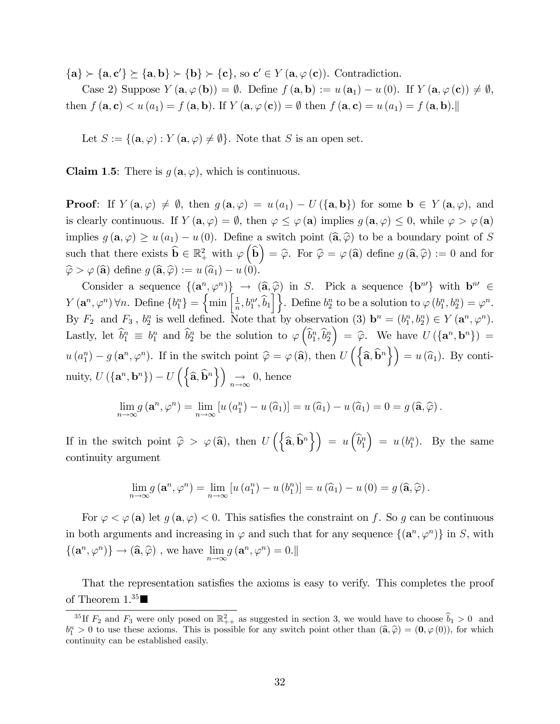${a} \succ {a, c'} \succeq {a, b} \succ {b} \succ {c}$ , so  $c' \in Y(a, \varphi(c))$ . Contradiction.

Case 2) Suppose  $Y(\mathbf{a}, \varphi(\mathbf{b})) = \emptyset$ . Define  $f(\mathbf{a}, \mathbf{b}) := u(\mathbf{a}_1) - u(0)$ . If  $Y(\mathbf{a}, \varphi(\mathbf{c})) \neq \emptyset$ , then  $f(\mathbf{a}, \mathbf{c}) < u(a_1) = f(\mathbf{a}, \mathbf{b})$ . If  $Y(\mathbf{a}, \varphi(\mathbf{c})) = \emptyset$  then  $f(\mathbf{a}, \mathbf{c}) = u(a_1) = f(\mathbf{a}, \mathbf{b})$ .

Let  $S := \{(\mathbf{a}, \varphi) : Y(\mathbf{a}, \varphi) \neq \emptyset\}$ . Note that S is an open set.

**Claim 1.5:** There is  $q(\mathbf{a}, \varphi)$ , which is continuous.

**Proof:** If  $Y(\mathbf{a}, \varphi) \neq \emptyset$ , then  $g(\mathbf{a}, \varphi) = u(a_1) - U(\{\mathbf{a}, \mathbf{b}\})$  for some  $\mathbf{b} \in Y(\mathbf{a}, \varphi)$ , and is clearly continuous. If  $Y(\mathbf{a}, \varphi) = \emptyset$ , then  $\varphi \leq \varphi(\mathbf{a})$  implies  $g(\mathbf{a}, \varphi) \leq 0$ , while  $\varphi > \varphi(\mathbf{a})$ implies  $g(\mathbf{a}, \varphi) \geq u(a_1) - u(0)$ . Define a switch point  $(\hat{\mathbf{a}}, \hat{\varphi})$  to be a boundary point of S such that there exists  $\hat{\mathbf{b}} \in \mathbb{R}^2_+$  with  $\varphi(\hat{\mathbf{b}}) = \hat{\varphi}$ . For  $\hat{\varphi} = \varphi(\hat{\mathbf{a}})$  define  $g(\hat{\mathbf{a}}, \hat{\varphi}) := 0$  and for  $\hat{\varphi} > \varphi(\hat{\mathbf{a}})$  define  $g(\hat{\mathbf{a}}, \hat{\varphi}) := u(\hat{a}_1) - u(0).$ 

Consider a sequence  $\{(\mathbf{a}^n, \varphi^n)\}\rightarrow (\widehat{\mathbf{a}}, \widehat{\varphi})$  in S. Pick a sequence  $\{\mathbf{b}^{n'}\}$  with  $\mathbf{b}^{n'} \in$  $Y(\mathbf{a}^n, \varphi^n)$   $\forall n$ . Define  $\{b_1^n\} = \{\min\left[\frac{1}{n}\right]$  $\left\{\frac{1}{n}, b_1^{n'}, \widehat{b}_1\right\}\right\}$ . Define  $b_2^n$  to be a solution to  $\varphi(b_1^n, b_2^n) = \varphi^n$ . By  $F_2$  and  $F_3$ ,  $b_2^n$  is well defined. Note that by observation (3)  $\mathbf{b}^n = (b_1^n, b_2^n) \in Y(\mathbf{a}^n, \varphi^n)$ . Lastly, let  $\hat{b}_1^n \equiv b_1^n$  and  $\hat{b}_2^n$  be the solution to  $\varphi\left(\hat{b}_1^n, \hat{b}_2^n\right)$  $\Big) = \widehat{\varphi}$ . We have  $U(\{a^n, b^n\}) =$  $u(a_1^n) - g(a^n, \varphi^n)$ . If in the switch point  $\hat{\varphi} = \varphi(\hat{\mathbf{a}})$ , then  $U\left(\left\{\hat{\mathbf{a}}, \hat{\mathbf{b}}^n\right\}\right) = u(\hat{a}_1)$ . By continuity,  $U(\{\mathbf{a}^n, \mathbf{b}^n\}) - U(\{\hat{\mathbf{a}}, \hat{\mathbf{b}}^n\}) \rightarrow 0$ , hence

$$
\lim_{n \to \infty} g\left(\mathbf{a}^n, \varphi^n\right) = \lim_{n \to \infty} \left[ u\left(a_1^n\right) - u\left(\widehat{a}_1\right) \right] = u\left(\widehat{a}_1\right) - u\left(\widehat{a}_1\right) = 0 = g\left(\widehat{\mathbf{a}}, \widehat{\varphi}\right).
$$

If in the switch point  $\hat{\varphi} > \varphi(\hat{\mathbf{a}})$ , then  $U\left(\left\{\hat{\mathbf{a}}, \hat{\mathbf{b}}^n\right\}\right) = u\left(\hat{b}_1^n\right)$  $= u(b_1^n)$ . By the same continuity argument

$$
\lim_{n\to\infty} g\left(\mathbf{a}^n, \varphi^n\right) = \lim_{n\to\infty} \left[ u\left(a_1^n\right) - u\left(b_1^n\right) \right] = u\left(\widehat{a}_1\right) - u\left(0\right) = g\left(\widehat{\mathbf{a}}, \widehat{\varphi}\right).
$$

For  $\varphi < \varphi$  (a) let  $g(a, \varphi) < 0$ . This satisfies the constraint on f. So g can be continuous in both arguments and increasing in  $\varphi$  and such that for any sequence  $\{(\mathbf{a}^n, \varphi^n)\}\$ in S, with  $\{(\mathbf{a}^n,\varphi^n)\}\to(\widehat{\mathbf{a}},\widehat{\varphi})$  , we have  $\lim_{n\to\infty}g\left(\mathbf{a}^n,\varphi^n\right)=0.$ 

That the representation satisfies the axioms is easy to verify. This completes the proof of Theorem  $1.^{35}$ 

<sup>&</sup>lt;sup>35</sup>If  $F_2$  and  $F_3$  were only posed on  $\mathbb{R}^2_{++}$  as suggested in section 3, we would have to choose  $b_1 > 0$  and  $b_1^n > 0$  to use these axioms. This is possible for any switch point other than  $(\hat{\mathbf{a}}, \hat{\varphi}) = (\mathbf{0}, \varphi(0))$ , for which continuity can be established easily.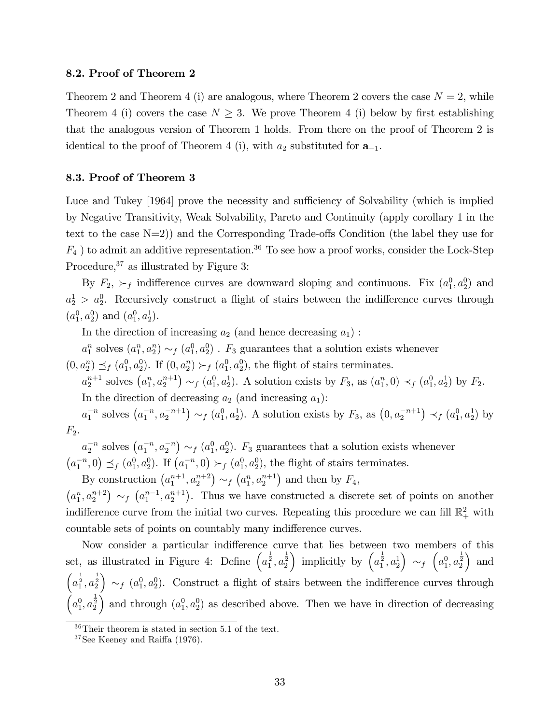#### 8.2. Proof of Theorem 2

Theorem 2 and Theorem 4 (i) are analogous, where Theorem 2 covers the case  $N = 2$ , while Theorem 4 (i) covers the case  $N \geq 3$ . We prove Theorem 4 (i) below by first establishing that the analogous version of Theorem 1 holds. From there on the proof of Theorem 2 is identical to the proof of Theorem 4 (i), with  $a_2$  substituted for  $a_{-1}$ .

#### 8.3. Proof of Theorem 3

Luce and Tukey [1964] prove the necessity and sufficiency of Solvability (which is implied by Negative Transitivity, Weak Solvability, Pareto and Continuity (apply corollary 1 in the text to the case  $N=2$ ) and the Corresponding Trade-offs Condition (the label they use for  $F_4$ ) to admit an additive representation.<sup>36</sup> To see how a proof works, consider the Lock-Step Procedure,  $37$  as illustrated by Figure 3:

By  $F_2$ ,  $\succ_f$  indifference curves are downward sloping and continuous. Fix  $(a_1^0, a_2^0)$  and  $a_2^1 > a_2^0$ . Recursively construct a flight of stairs between the indifference curves through  $(a_1^0, a_2^0)$  and  $(a_1^0, a_2^1)$ .

In the direction of increasing  $a_2$  (and hence decreasing  $a_1$ ):

 $a_1^n$  solves  $(a_1^n, a_2^n) \sim_f (a_1^0, a_2^0)$ .  $F_3$  guarantees that a solution exists whenever  $(0, a_2^n) \preceq_f (a_1^0, a_2^0)$ . If  $(0, a_2^n) \succ_f (a_1^0, a_2^0)$ , the flight of stairs terminates.

 $a_2^{n+1}$  solves  $(a_1^n, a_2^{n+1}) \sim_f (a_1^0, a_2^1)$ . A solution exists by  $F_3$ , as  $(a_1^n, 0) \prec_f (a_1^0, a_2^1)$  by  $F_2$ . In the direction of decreasing  $a_2$  (and increasing  $a_1$ ):

 $a_1^{-n}$  solves  $(a_1^{-n}, a_2^{-n+1}) \sim_f (a_1^0, a_2^1)$ . A solution exists by  $F_3$ , as  $(0, a_2^{-n+1}) \prec_f (a_1^0, a_2^1)$  by  $F_2$ .

 $a_2^{-n}$  solves  $(a_1^{-n}, a_2^{-n}) \sim_f (a_1^0, a_2^0)$ .  $F_3$  guarantees that a solution exists whenever  $(a_1^{-n},0) \preceq_f (a_1^0, a_2^0)$ . If  $(a_1^{-n},0) >_f (a_1^0, a_2^0)$ , the flight of stairs terminates.

By construction  $(a_1^{n+1}, a_2^{n+2}) \sim_f (a_1^n, a_2^{n+1})$  and then by  $F_4$ ,  $(a_1^n, a_2^{n+2}) \sim_f (a_1^{n-1}, a_2^{n+1})$ . Thus we have constructed a discrete set of points on another indifference curve from the initial two curves. Repeating this procedure we can fill  $\mathbb{R}^2_+$  with countable sets of points on countably many indifference curves.

Now consider a particular indifference curve that lies between two members of this set, as illustrated in Figure 4: Define  $\left(a_1^{\frac{1}{2}}, a_2^{\frac{1}{2}}\right)$ ) implicitly by  $\left(a_1^{\frac{1}{2}}, a_2^{\frac{1}{2}}\right)$  $\Big) \sim_f \Big( a_1^0, a_2^{\frac{1}{2}} \Big)$ ) and  $\left(a_1^{\frac{1}{2}}, a_2^{\frac{1}{2}}\right)$  $\left( \alpha_1^0, a_2^0 \right)$ . Construct a flight of stairs between the indifference curves through  $\left(a_1^0, a_2^{\frac{1}{2}}\right)$ ) and through  $(a_1^0, a_2^0)$  as described above. Then we have in direction of decreasing

<sup>36</sup>Their theorem is stated in section 5.1 of the text.

 $37$ See Keeney and Raiffa (1976).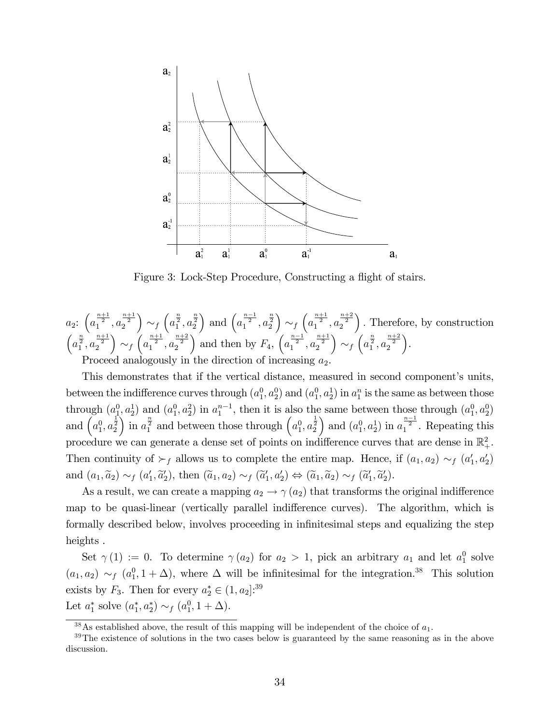

Figure 3: Lock-Step Procedure, Constructing a flight of stairs.

$$
a_2: \left(a_1^{\frac{n+1}{2}}, a_2^{\frac{n+1}{2}}\right) \sim_f \left(a_1^{\frac{n}{2}}, a_2^{\frac{n}{2}}\right) \text{ and } \left(a_1^{\frac{n-1}{2}}, a_2^{\frac{n}{2}}\right) \sim_f \left(a_1^{\frac{n+1}{2}}, a_2^{\frac{n+2}{2}}\right). \text{ Therefore, by construction}
$$
\n
$$
\left(a_1^{\frac{n}{2}}, a_2^{\frac{n+1}{2}}\right) \sim_f \left(a_1^{\frac{n+1}{2}}, a_2^{\frac{n+2}{2}}\right) \text{ and then by } F_4, \left(a_1^{\frac{n-1}{2}}, a_2^{\frac{n+1}{2}}\right) \sim_f \left(a_1^{\frac{n}{2}}, a_2^{\frac{n+2}{2}}\right).
$$
\nProceed analogously in the direction of increasing  $a_2$ .

This demonstrates that if the vertical distance, measured in second component's units, between the indifference curves through  $(a_1^0, a_2^0)$  and  $(a_1^0, a_2^1)$  in  $a_1^n$  is the same as between those through  $(a_1^0, a_2^1)$  and  $(a_1^0, a_2^2)$  in  $a_1^{n-1}$ , then it is also the same between those through  $(a_1^0, a_2^0)$ and  $\left(a_1^0, a_2^{\frac{1}{2}}\right)$ in  $a_1^{\frac{n}{2}}$  and between those through  $\left(a_1^0, a_2^{\frac{1}{2}}\right)$ ) and  $(a_1^0, a_2^1)$  in  $a_1^{\frac{n-1}{2}}$ . Repeating this procedure we can generate a dense set of points on indifference curves that are dense in  $\mathbb{R}^2_+$ . Then continuity of  $\succ_f$  allows us to complete the entire map. Hence, if  $(a_1, a_2) \sim_f (a'_1, a'_2)$ and  $(a_1, \tilde{a}_2) \sim_f (a'_1, \tilde{a}'_2)$ , then  $(\tilde{a}_1, a_2) \sim_f (\tilde{a}'_1, a'_2) \Leftrightarrow (\tilde{a}_1, \tilde{a}_2) \sim_f (\tilde{a}'_1, \tilde{a}'_2)$ .

As a result, we can create a mapping  $a_2 \to \gamma(a_2)$  that transforms the original indifference map to be quasi-linear (vertically parallel indifference curves). The algorithm, which is formally described below, involves proceeding in infinitesimal steps and equalizing the step heights .

Set  $\gamma(1) := 0$ . To determine  $\gamma(a_2)$  for  $a_2 > 1$ , pick an arbitrary  $a_1$  and let  $a_1^0$  solve  $(a_1, a_2) \sim_f (a_1^0, 1 + \Delta)$ , where  $\Delta$  will be infinitesimal for the integration.<sup>38</sup> This solution exists by  $F_3$ . Then for every  $a_2^* \in (1, a_2]$ :<sup>39</sup> Let  $a_1^*$  solve  $(a_1^*, a_2^*) \sim_f (a_1^0, 1 + \Delta)$ .

 $38\text{ As established above, the result of this mapping will be independent of the choice of }a_1$ .

<sup>&</sup>lt;sup>39</sup>The existence of solutions in the two cases below is guaranteed by the same reasoning as in the above discussion.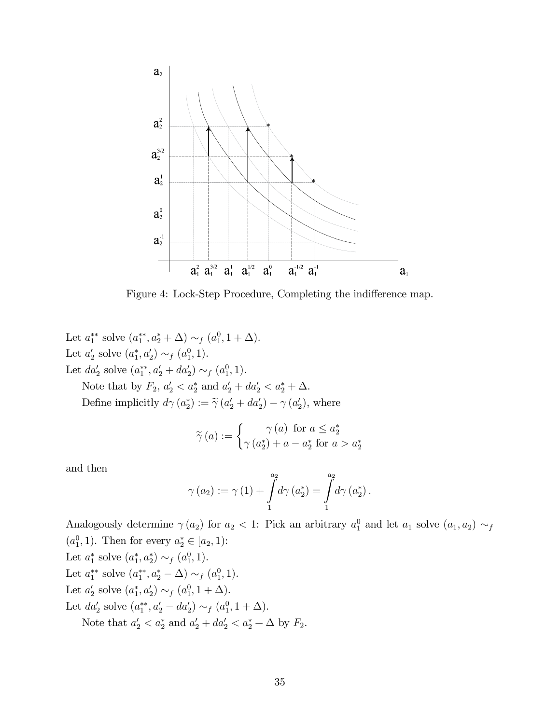

Figure 4: Lock-Step Procedure, Completing the indifference map.

Let  $a_1^{**}$  solve  $(a_1^{**}, a_2^{*} + \Delta) \sim_f (a_1^0, 1 + \Delta)$ . Let  $a'_2$  solve  $(a_1^*, a'_2) \sim_f (a_1^0, 1)$ . Let  $da'_2$  solve  $(a_1^{**}, a'_2 + da'_2) \sim_f (a_1^0, 1)$ .

Note that by  $F_2$ ,  $a'_2 < a^*_2$  and  $a'_2 + da'_2 < a^*_2 + \Delta$ . Define implicitly  $d\gamma(a_2^*) := \tilde{\gamma}(a_2' + da_2') - \gamma(a_2'),$  where

$$
\widetilde{\gamma}(a) := \begin{cases} \gamma(a) & \text{for } a \le a_2^* \\ \gamma(a_2^*) + a - a_2^* & \text{for } a > a_2^* \end{cases}
$$

and then

$$
\gamma(a_2) := \gamma(1) + \int_{1}^{a_2} d\gamma (a_2^*) = \int_{1}^{a_2} d\gamma (a_2^*).
$$

Analogously determine  $\gamma(a_2)$  for  $a_2 < 1$ : Pick an arbitrary  $a_1^0$  and let  $a_1$  solve  $(a_1, a_2) \sim_f$  $(a_1^0, 1)$ . Then for every  $a_2^* \in [a_2, 1)$ : Let  $a_1^*$  solve  $(a_1^*, a_2^*) \sim_f (a_1^0, 1)$ . Let  $a_1^{**}$  solve  $(a_1^{**}, a_2^* - \Delta) \sim_f (a_1^0, 1)$ . Let  $a'_2$  solve  $(a_1^*, a'_2) \sim_f (a_1^0, 1 + \Delta)$ . Let  $da'_2$  solve  $(a_1^{**}, a'_2 - da'_2) \sim_f (a_1^0, 1 + \Delta)$ .

Note that  $a'_2 < a^*_2$  and  $a'_2 + da'_2 < a^*_2 + \Delta$  by  $F_2$ .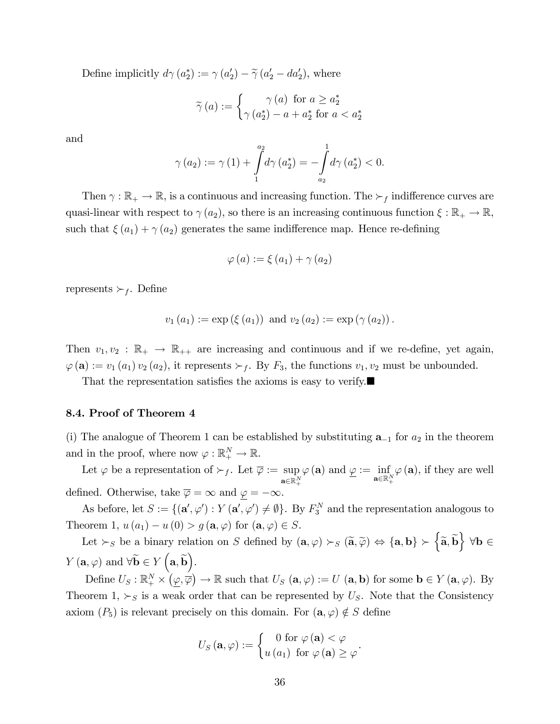Define implicitly  $d\gamma(a_2^*) := \gamma(a_2') - \tilde{\gamma}(a_2' - da_2'),$  where

$$
\widetilde{\gamma}(a) := \begin{cases} \gamma(a) & \text{for } a \ge a_2^* \\ \gamma(a_2^*) - a + a_2^* & \text{for } a < a_2^* \end{cases}
$$

and

$$
\gamma(a_2) := \gamma(1) + \int_{1}^{a_2} d\gamma(a_2^*) = -\int_{a_2}^{1} d\gamma(a_2^*) < 0.
$$

Then  $\gamma : \mathbb{R}_+ \to \mathbb{R}$ , is a continuous and increasing function. The  $\succ_f$  indifference curves are quasi-linear with respect to  $\gamma(a_2)$ , so there is an increasing continuous function  $\xi : \mathbb{R}_+ \to \mathbb{R}$ , such that  $\xi(a_1) + \gamma(a_2)$  generates the same indifference map. Hence re-defining

$$
\varphi(a) := \xi(a_1) + \gamma(a_2)
$$

represents  $\succ_f$ . Define

$$
v_1(a_1) := \exp (\xi (a_1))
$$
 and  $v_2(a_2) := \exp (\gamma (a_2))$ .

Then  $v_1, v_2 : \mathbb{R}_+ \to \mathbb{R}_{++}$  are increasing and continuous and if we re-define, yet again,  $\varphi(\mathbf{a}) := v_1(a_1) v_2(a_2)$ , it represents  $\succ_f$ . By  $F_3$ , the functions  $v_1, v_2$  must be unbounded.

That the representation satisfies the axioms is easy to verify.

#### 8.4. Proof of Theorem 4

(i) The analogue of Theorem 1 can be established by substituting  $a_{-1}$  for  $a_2$  in the theorem and in the proof, where now  $\varphi : \mathbb{R}^N_+ \to \mathbb{R}$ .

Let  $\varphi$  be a representation of  $\succ_f$ . Let  $\overline{\varphi} := \sup$  $\mathbf{a} {\in} \mathbb{R}^N_+$  $\varphi(\mathbf{a})$  and  $\underline{\varphi} := \inf_{\mathbf{a} \in \mathbb{R}_+^N}$  $\varphi(\mathbf{a})$ , if they are well defined. Otherwise, take  $\overline{\varphi} = \infty$  and  $\varphi = -\infty$ .

As before, let  $S := \{(\mathbf{a}', \varphi') : Y(\mathbf{a}', \varphi') \neq \emptyset\}$ . By  $F_3^N$  and the representation analogous to Theorem 1,  $u(a_1) - u(0) > g(\mathbf{a}, \varphi)$  for  $(\mathbf{a}, \varphi) \in S$ .

Let  $\succ_S$  be a binary relation on S defined by  $(\mathbf{a}, \varphi) \succ_S (\widetilde{\mathbf{a}}, \widetilde{\varphi}) \Leftrightarrow {\mathbf{a}, \mathbf{b}} \succ {\widetilde{\mathbf{a}}, \widetilde{\mathbf{b}}} \forall \mathbf{b} \in \mathbb{R}$  $Y\left(\mathbf{a}, \varphi\right)$  and  $\forall \widetilde{\mathbf{b}} \in Y\left(\mathbf{a}, \widetilde{\mathbf{b}}\right)$ .

Define  $U_S: \mathbb{R}^N_+ \times (\underline{\varphi}, \overline{\varphi}) \to \mathbb{R}$  such that  $U_S(\mathbf{a}, \varphi) := U(\mathbf{a}, \mathbf{b})$  for some  $\mathbf{b} \in Y(\mathbf{a}, \varphi)$ . By Theorem 1,  $\succ_S$  is a weak order that can be represented by  $U_S$ . Note that the Consistency axiom  $(P_5)$  is relevant precisely on this domain. For  $(\mathbf{a}, \varphi) \notin S$  define

$$
U_{S}\left(\mathbf{a},\varphi\right) := \begin{cases} 0 \text{ for } \varphi\left(\mathbf{a}\right) < \varphi \\ u\left(a_{1}\right) \text{ for } \varphi\left(\mathbf{a}\right) \geq \varphi \end{cases}.
$$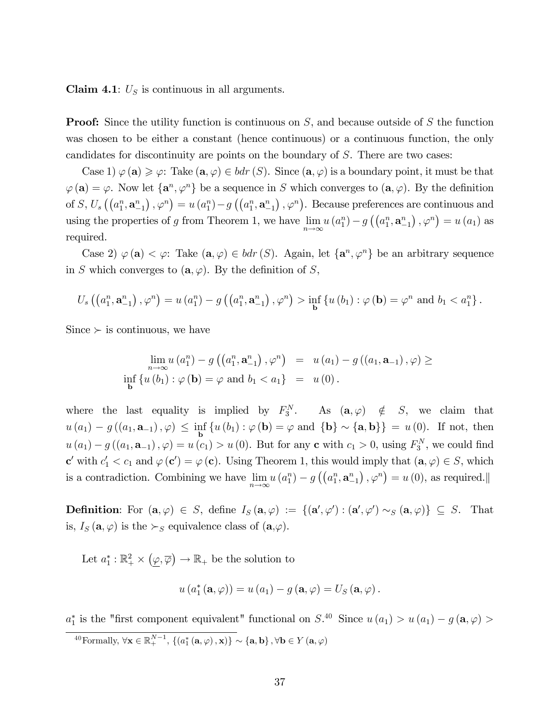Claim 4.1:  $U<sub>S</sub>$  is continuous in all arguments.

**Proof:** Since the utility function is continuous on S, and because outside of S the function was chosen to be either a constant (hence continuous) or a continuous function, the only candidates for discontinuity are points on the boundary of S. There are two cases:

Case 1)  $\varphi(\mathbf{a}) \geq \varphi$ : Take  $(\mathbf{a}, \varphi) \in bdr(S)$ . Since  $(\mathbf{a}, \varphi)$  is a boundary point, it must be that  $\varphi(\mathbf{a}) = \varphi$ . Now let  $\{\mathbf{a}^n, \varphi^n\}$  be a sequence in S which converges to  $(\mathbf{a}, \varphi)$ . By the definition of S,  $U_s\left(\left(a_1^n, \mathbf{a}_{-1}^n\right), \varphi^n\right) = u\left(a_1^n\right) - g\left(\left(a_1^n, \mathbf{a}_{-1}^n\right), \varphi^n\right)$ . Because preferences are continuous and using the properties of g from Theorem 1, we have  $\lim_{n\to\infty} u(a_1^n) - g((a_1^n, \mathbf{a}_{-1}^n), \varphi^n) = u(a_1)$  as required.

Case 2)  $\varphi(\mathbf{a}) < \varphi$ : Take  $(\mathbf{a}, \varphi) \in bdr(S)$ . Again, let  $\{\mathbf{a}^n, \varphi^n\}$  be an arbitrary sequence in S which converges to  $(\mathbf{a}, \varphi)$ . By the definition of S,

$$
U_s\left(\left(a_1^n, \mathbf{a}_{-1}^n\right), \varphi^n\right) = u\left(a_1^n\right) - g\left(\left(a_1^n, \mathbf{a}_{-1}^n\right), \varphi^n\right) > \inf_{\mathbf{b}} \left\{u\left(b_1\right) : \varphi\left(\mathbf{b}\right) = \varphi^n \text{ and } b_1 < a_1^n\right\}.
$$

 $Since \succ is$  continuous, we have

$$
\lim_{n \to \infty} u(a_1^n) - g\left(\left(a_1^n, \mathbf{a}_{-1}^n\right), \varphi^n\right) = u\left(a_1\right) - g\left(\left(a_1, \mathbf{a}_{-1}\right), \varphi\right) \ge
$$
\n
$$
\inf_{\mathbf{b}} \left\{u\left(b_1\right) : \varphi\left(\mathbf{b}\right) = \varphi \text{ and } b_1 < a_1\right\} = u\left(0\right).
$$

where the last equality is implied by  $F_3^N$ . As  $(\mathbf{a}, \varphi) \notin S$ , we claim that  $u(a_1) - g((a_1, \mathbf{a}_{-1}), \varphi) \leq \inf_{\mathbf{b}} \{u(b_1) : \varphi(\mathbf{b}) = \varphi \text{ and } {\{\mathbf{b}\}} \sim {\{\mathbf{a}, \mathbf{b}\}} = u(0).$  If not, then  $u(a_1) - g((a_1, a_{-1}), \varphi) = u(c_1) > u(0)$ . But for any **c** with  $c_1 > 0$ , using  $F_3^N$ , we could find  $\mathbf{c}'$  with  $c'_1 < c_1$  and  $\varphi(\mathbf{c}') = \varphi(\mathbf{c})$ . Using Theorem 1, this would imply that  $(\mathbf{a}, \varphi) \in S$ , which is a contradiction. Combining we have  $\lim_{n\to\infty} u(a_1^n) - g((a_1^n, \mathbf{a}_{-1}^n), \varphi^n) = u(0)$ , as required.

**Definition:** For  $(\mathbf{a}, \varphi) \in S$ , define  $I_S(\mathbf{a}, \varphi) := \{(\mathbf{a}', \varphi') : (\mathbf{a}', \varphi') \sim_S (\mathbf{a}, \varphi)\} \subseteq S$ . That is,  $I_S(\mathbf{a}, \varphi)$  is the  $\succ_S$  equivalence class of  $(\mathbf{a}, \varphi)$ .

Let  $a_1^*: \mathbb{R}_+^2 \times (\underline{\varphi}, \overline{\varphi}) \to \mathbb{R}_+$  be the solution to

$$
u(a_1^*(\mathbf{a},\varphi))=u(a_1)-g(\mathbf{a},\varphi)=U_S(\mathbf{a},\varphi).
$$

 $a_1^*$  is the "first component equivalent" functional on  $S^{40}$  Since  $u(a_1) > u(a_1) - g(a, \varphi) >$ <sup>40</sup>Formally,  $\forall \mathbf{x} \in \mathbb{R}^{N-1}_+$ ,  $\{(a_1^*(\mathbf{a},\varphi),\mathbf{x})\} \sim \{\mathbf{a},\mathbf{b}\}\$ ,  $\forall \mathbf{b} \in Y(\mathbf{a},\varphi)$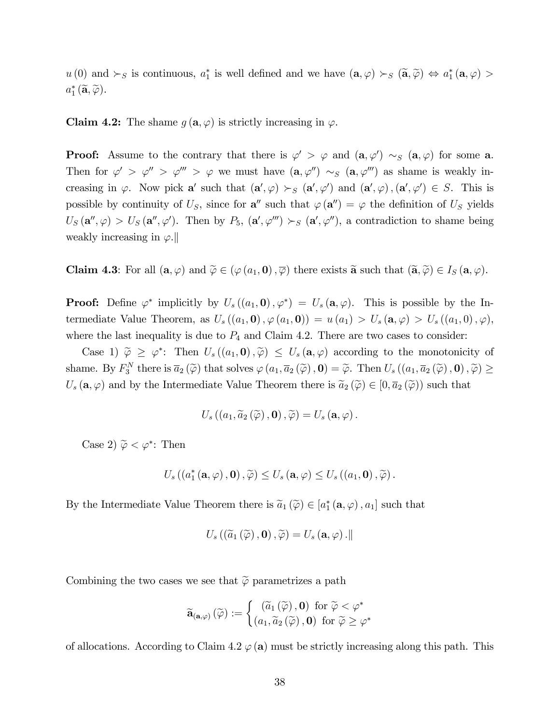$u(0)$  and  $\succ_S$  is continuous,  $a_1^*$  is well defined and we have  $(\mathbf{a}, \varphi) \succ_S (\widetilde{\mathbf{a}}, \widetilde{\varphi}) \Leftrightarrow a_1^*(\mathbf{a}, \varphi) >$  $a_1^*\left(\widetilde{\mathbf{a}}, \widetilde{\varphi}\right)$ .

**Claim 4.2:** The shame  $g(\mathbf{a}, \varphi)$  is strictly increasing in  $\varphi$ .

**Proof:** Assume to the contrary that there is  $\varphi' > \varphi$  and  $(\mathbf{a}, \varphi') \sim_S (\mathbf{a}, \varphi)$  for some **a**. Then for  $\varphi' > \varphi'' > \varphi''' > \varphi$  we must have  $(\mathbf{a}, \varphi'') \sim_S (\mathbf{a}, \varphi''')$  as shame is weakly increasing in  $\varphi$ . Now pick a' such that  $(\mathbf{a}', \varphi) >_{S} (\mathbf{a}', \varphi')$  and  $(\mathbf{a}', \varphi)$ ,  $(\mathbf{a}', \varphi') \in S$ . This is possible by continuity of  $U_s$ , since for  $\mathbf{a}''$  such that  $\varphi(\mathbf{a}'') = \varphi$  the definition of  $U_s$  yields  $U_S(\mathbf{a}'', \varphi) > U_S(\mathbf{a}'', \varphi')$ . Then by  $P_5$ ,  $(\mathbf{a}', \varphi'') > S(\mathbf{a}', \varphi'')$ , a contradiction to shame being weakly increasing in  $\varphi$ .

**Claim 4.3**: For all  $(\mathbf{a}, \varphi)$  and  $\widetilde{\varphi} \in (\varphi(a_1, \mathbf{0}), \overline{\varphi})$  there exists  $\widetilde{\mathbf{a}}$  such that  $(\widetilde{\mathbf{a}}, \widetilde{\varphi}) \in I_S(\mathbf{a}, \varphi)$ .

**Proof:** Define  $\varphi^*$  implicitly by  $U_s((a_1, \mathbf{0}), \varphi^*) = U_s(\mathbf{a}, \varphi)$ . This is possible by the Intermediate Value Theorem, as  $U_s((a_1, \mathbf{0}), \varphi(a_1, \mathbf{0})) = u(a_1) > U_s(\mathbf{a}, \varphi) > U_s((a_1, 0), \varphi),$ where the last inequality is due to  $P_4$  and Claim 4.2. There are two cases to consider:

Case 1)  $\tilde{\varphi} \geq \varphi^*$ : Then  $U_s((a_1, \mathbf{0}), \tilde{\varphi}) \leq U_s(\mathbf{a}, \varphi)$  according to the monotonicity of shame. By  $F_3^N$  there is  $\overline{a}_2(\widetilde{\varphi})$  that solves  $\varphi(a_1, \overline{a}_2(\widetilde{\varphi}), \mathbf{0}) = \widetilde{\varphi}$ . Then  $U_s((a_1, \overline{a}_2(\widetilde{\varphi}), \mathbf{0}), \widetilde{\varphi}) \ge$  $U_s(\mathbf{a}, \varphi)$  and by the Intermediate Value Theorem there is  $\widetilde{a}_2(\widetilde{\varphi}) \in [0, \overline{a}_2(\widetilde{\varphi}))$  such that

$$
U_s\left(\left(a_1,\widetilde{a}_2\left(\widetilde{\varphi}\right),\mathbf{0}\right),\widetilde{\varphi}\right)=U_s\left(\mathbf{a},\varphi\right).
$$

Case 2)  $\widetilde{\varphi} < \varphi^*$ : Then

$$
U_s\left(\left(a_1^*\left(\mathbf{a},\varphi\right),\mathbf{0}\right),\widetilde{\varphi}\right)\leq U_s\left(\mathbf{a},\varphi\right)\leq U_s\left(\left(a_1,\mathbf{0}\right),\widetilde{\varphi}\right).
$$

By the Intermediate Value Theorem there is  $\widetilde{a}_1(\widetilde{\varphi}) \in [a_1^*(\mathbf{a}, \varphi), a_1]$  such that

$$
U_s\left(\left(\widetilde{a}_1\left(\widetilde{\varphi}\right),\mathbf{0}\right),\widetilde{\varphi}\right)=U_s\left(\mathbf{a},\varphi\right). \Vert
$$

Combining the two cases we see that  $\tilde{\varphi}$  parametrizes a path

$$
\widetilde{\mathbf{a}}_{(\mathbf{a},\varphi)}\left(\widetilde{\varphi}\right) := \begin{cases}\left(\widetilde{a}_{1}\left(\widetilde{\varphi}\right),\mathbf{0}\right) \text{ for } \widetilde{\varphi} < \varphi^*\\ \left(a_{1},\widetilde{a}_{2}\left(\widetilde{\varphi}\right),\mathbf{0}\right) \text{ for } \widetilde{\varphi} \geq \varphi^*\end{cases}
$$

of allocations. According to Claim 4.2  $\varphi$  (a) must be strictly increasing along this path. This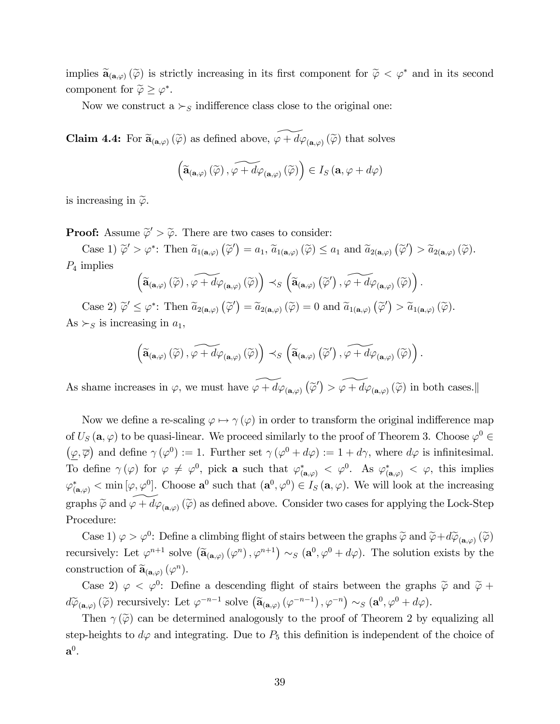implies  $\widetilde{\mathbf{a}}_{(\mathbf{a},\varphi)}(\widetilde{\varphi})$  is strictly increasing in its first component for  $\widetilde{\varphi} < \varphi^*$  and in its second component for  $\widetilde{\varphi} \geq \varphi^*$ .

Now we construct a  $\succ_S$  indifference class close to the original one:

**Claim 4.4:** For  $\widetilde{\mathbf{a}}_{(\mathbf{a},\varphi)}(\widetilde{\varphi})$  as defined above,  $\widetilde{\varphi} + d\varphi_{(\mathbf{a},\varphi)}(\widetilde{\varphi})$  that solves

$$
\left(\widetilde{\mathbf{a}}_{(\mathbf{a},\varphi)}\left(\widetilde{\varphi}\right),\widetilde{\varphi+d\varphi_{(\mathbf{a},\varphi)}\left(\widetilde{\varphi}\right)}\right)\in I_{S}\left(\mathbf{a},\varphi+d\varphi\right)
$$

is increasing in  $\tilde{\varphi}$ .

**Proof:** Assume  $\widetilde{\varphi}' > \widetilde{\varphi}$ . There are two cases to consider:

Case 1)  $\widetilde{\varphi}' > \varphi^*$ : Then  $\widetilde{a}_{1(\mathbf{a},\varphi)}(\widetilde{\varphi}') = a_1$ ,  $\widetilde{a}_{1(\mathbf{a},\varphi)}(\widetilde{\varphi}) \le a_1$  and  $\widetilde{a}_{2(\mathbf{a},\varphi)}(\widetilde{\varphi}') > \widetilde{a}_{2(\mathbf{a},\varphi)}(\widetilde{\varphi})$ .  $P_4$  implies

$$
\left(\widetilde{\mathbf{a}}_{(\mathbf{a},\varphi)}\left(\widetilde{\varphi}\right),\widetilde{\varphi+d\varphi_{(\mathbf{a},\varphi)}\left(\widetilde{\varphi}\right)}\right)\prec_{S}\left(\widetilde{\mathbf{a}}_{(\mathbf{a},\varphi)}\left(\widetilde{\varphi}'\right),\widetilde{\varphi+d\varphi_{(\mathbf{a},\varphi)}\left(\widetilde{\varphi}\right)}\right).
$$

Case 2)  $\widetilde{\varphi}' \leq \varphi^*$ : Then  $\widetilde{a}_{2(\mathbf{a},\varphi)}(\widetilde{\varphi}') = \widetilde{a}_{2(\mathbf{a},\varphi)}(\widetilde{\varphi}) = 0$  and  $\widetilde{a}_{1(\mathbf{a},\varphi)}(\widetilde{\varphi}') > \widetilde{a}_{1(\mathbf{a},\varphi)}(\widetilde{\varphi})$ . As  $\succ_S$  is increasing in  $a_1$ ,

$$
\left(\widetilde{\mathbf{a}}_{(\mathbf{a},\varphi)}\left(\widetilde{\varphi}\right),\widetilde{\varphi+d\varphi}_{(\mathbf{a},\varphi)}\left(\widetilde{\varphi}\right)\right)\prec_S\left(\widetilde{\mathbf{a}}_{(\mathbf{a},\varphi)}\left(\widetilde{\varphi}'\right),\widetilde{\varphi+d\varphi}_{(\mathbf{a},\varphi)}\left(\widetilde{\varphi}\right)\right).
$$

As shame increases in  $\varphi$ , we must have  $\widetilde{\varphi + d\varphi_{(a,\varphi)}}(\widetilde{\varphi}') > \widetilde{\varphi + d\varphi_{(a,\varphi)}}(\widetilde{\varphi})$  in both cases.

Now we define a re-scaling  $\varphi \mapsto \gamma(\varphi)$  in order to transform the original indifference map of  $U_S(\mathbf{a}, \varphi)$  to be quasi-linear. We proceed similarly to the proof of Theorem 3. Choose  $\varphi^0 \in$  $(\varphi, \overline{\varphi})$  and define  $\gamma(\varphi^0) := 1$ . Further set  $\gamma(\varphi^0 + d\varphi) := 1 + d\gamma$ , where  $d\varphi$  is infinitesimal. To define  $\gamma(\varphi)$  for  $\varphi \neq \varphi^0$ , pick a such that  $\varphi^*_{(a,\varphi)} < \varphi^0$ . As  $\varphi^*_{(a,\varphi)} < \varphi$ , this implies  $\varphi^*_{(\mathbf{a},\varphi)} < \min[\varphi,\varphi^0]$ . Choose  $\mathbf{a}^0$  such that  $(\mathbf{a}^0,\varphi^0) \in I_S(\mathbf{a},\varphi)$ . We will look at the increasing graphs  $\widetilde{\varphi}$  and  $\widetilde{\varphi} + d\varphi_{(a,\varphi)}(\widetilde{\varphi})$  as defined above. Consider two cases for applying the Lock-Step Procedure:

Case 1)  $\varphi > \varphi^0$ : Define a climbing flight of stairs between the graphs  $\widetilde{\varphi}$  and  $\widetilde{\varphi} + d\widetilde{\varphi}_{(a,\varphi)}(\widetilde{\varphi})$ recursively: Let  $\varphi^{n+1}$  solve  $(\widetilde{\mathbf{a}}_{(\mathbf{a},\varphi)}(\varphi^n),\varphi^{n+1}) \sim_S (\mathbf{a}^0,\varphi^0 + d\varphi)$ . The solution exists by the construction of  $\widetilde{\mathbf{a}}_{(\mathbf{a},\varphi)}(\varphi^n)$ .

Case 2)  $\varphi < \varphi^0$ : Define a descending flight of stairs between the graphs  $\tilde{\varphi}$  and  $\tilde{\varphi}$  +  $d\widetilde{\varphi}_{(\mathbf{a},\varphi)}(\widetilde{\varphi})$  recursively: Let  $\varphi^{-n-1}$  solve  $(\widetilde{\mathbf{a}}_{(\mathbf{a},\varphi)}(\varphi^{-n-1}),\varphi^{-n}) \sim_S (\mathbf{a}^0, \varphi^0 + d\varphi)$ .

Then  $\gamma(\tilde{\varphi})$  can be determined analogously to the proof of Theorem 2 by equalizing all step-heights to  $d\varphi$  and integrating. Due to  $P_5$  this definition is independent of the choice of  $\mathbf{a}^0$ .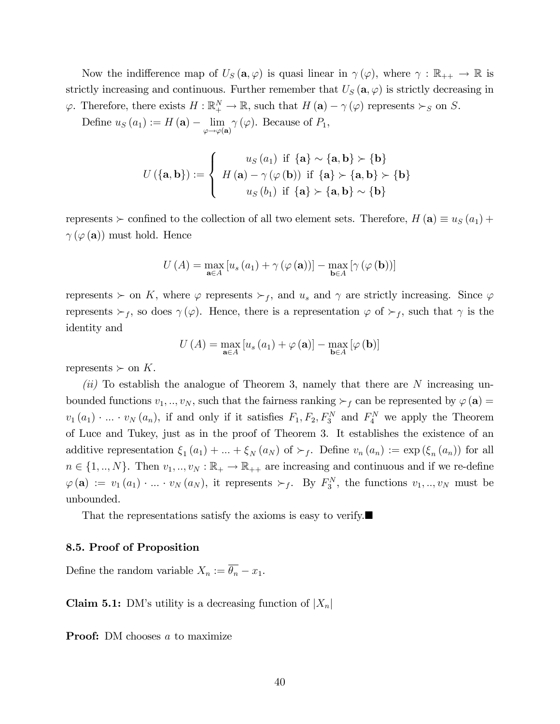Now the indifference map of  $U_s(\mathbf{a},\varphi)$  is quasi linear in  $\gamma(\varphi)$ , where  $\gamma : \mathbb{R}_{++} \to \mathbb{R}$  is strictly increasing and continuous. Further remember that  $U_s(\mathbf{a}, \varphi)$  is strictly decreasing in  $\varphi$ . Therefore, there exists  $H : \mathbb{R}^N_+ \to \mathbb{R}$ , such that  $H(\mathbf{a}) - \gamma (\varphi)$  represents  $\succ_S$  on S.

Define  $u_S(a_1) := H(\mathbf{a}) - \lim_{\varphi \to \varphi(\mathbf{a})} \gamma(\varphi)$ . Because of  $P_1$ ,

$$
U(\{\mathbf{a},\mathbf{b}\}):=\left\{\begin{array}{c} u_S(a_1) \text{ if } \{\mathbf{a}\} \sim \{\mathbf{a},\mathbf{b}\} \succ \{\mathbf{b}\} \\ H(\mathbf{a}) - \gamma(\varphi(\mathbf{b})) \text{ if } \{\mathbf{a}\} \succ \{\mathbf{a},\mathbf{b}\} \succ \{\mathbf{b}\} \\ u_S(b_1) \text{ if } \{\mathbf{a}\} \succ \{\mathbf{a},\mathbf{b}\} \sim \{\mathbf{b}\}\end{array}\right.
$$

represents  $\succ$  confined to the collection of all two element sets. Therefore,  $H(\mathbf{a}) \equiv u_S(a_1) +$  $\gamma(\varphi(\mathbf{a}))$  must hold. Hence

$$
U\left(A\right) = \max_{\mathbf{a} \in A} \left[ u_s\left(a_1\right) + \gamma\left(\varphi\left(\mathbf{a}\right)\right) \right] - \max_{\mathbf{b} \in A} \left[ \gamma\left(\varphi\left(\mathbf{b}\right)\right) \right]
$$

represents  $\succ$  on K, where  $\varphi$  represents  $\succ_f$ , and  $u_s$  and  $\gamma$  are strictly increasing. Since  $\varphi$ represents  $\succ_f$ , so does  $\gamma(\varphi)$ . Hence, there is a representation  $\varphi$  of  $\succ_f$ , such that  $\gamma$  is the identity and

$$
U(A) = \max_{\mathbf{a} \in A} [u_s(a_1) + \varphi(\mathbf{a})] - \max_{\mathbf{b} \in A} [\varphi(\mathbf{b})]
$$

represents  $\succ$  on K.

 $(ii)$  To establish the analogue of Theorem 3, namely that there are N increasing unbounded functions  $v_1, ..., v_N$ , such that the fairness ranking  $\succ_f$  can be represented by  $\varphi(\mathbf{a}) =$  $v_1(a_1) \cdot \ldots \cdot v_N(a_n)$ , if and only if it satisfies  $F_1, F_2, F_3^N$  and  $F_4^N$  we apply the Theorem of Luce and Tukey, just as in the proof of Theorem 3. It establishes the existence of an additive representation  $\xi_1(a_1) + ... + \xi_N(a_N)$  of  $\succ_f$ . Define  $v_n(a_n) := \exp(\xi_n(a_n))$  for all  $n \in \{1, ..., N\}$ . Then  $v_1, ..., v_N : \mathbb{R}_+ \to \mathbb{R}_{++}$  are increasing and continuous and if we re-define  $\varphi(\mathbf{a}) := v_1(a_1) \cdot ... \cdot v_N(a_N)$ , it represents  $\succ_f$ . By  $F_3^N$ , the functions  $v_1, ..., v_N$  must be unbounded.

That the representations satisfy the axioms is easy to verify.

#### 8.5. Proof of Proposition

Define the random variable  $X_n := \overline{\theta_n} - x_1$ .

**Claim 5.1:** DM's utility is a decreasing function of  $|X_n|$ 

**Proof:** DM chooses a to maximize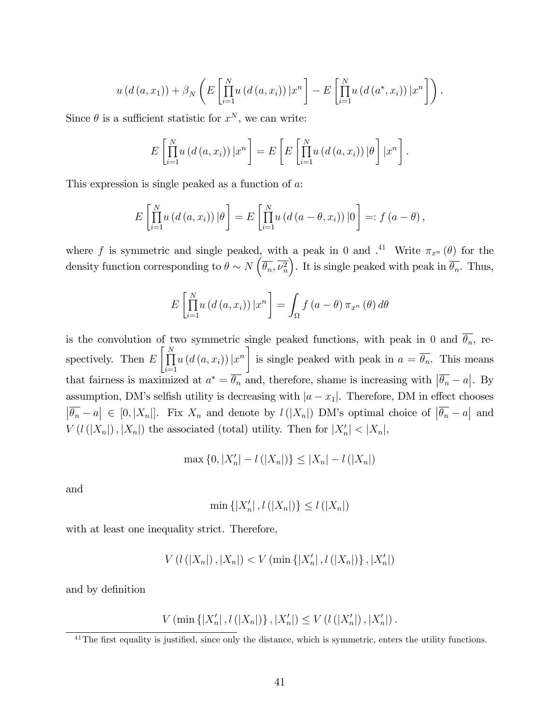$$
u(d(a,x_1))+\beta_N\left(E\left[\prod_{i=1}^N u(d(a,x_i))\big|x^n\right]-E\left[\prod_{i=1}^N u(d(a^*,x_i))\big|x^n\right]\right).
$$

Since  $\theta$  is a sufficient statistic for  $x^N$ , we can write:

$$
E\left[\prod_{i=1}^N u\left(d\left(a,x_i\right)\right)|x^n\right] = E\left[E\left[\prod_{i=1}^N u\left(d\left(a,x_i\right)\right)|\theta\right]|x^n\right].
$$

This expression is single peaked as a function of a:

$$
E\left[\prod_{i=1}^N u\left(d\left(a,x_i\right)\right)|\theta\right] = E\left[\prod_{i=1}^N u\left(d\left(a-\theta,x_i\right)\right)|0\right] =: f\left(a-\theta\right),
$$

where f is symmetric and single peaked, with a peak in 0 and  $\cdot^{41}$  Write  $\pi_{x^n}(\theta)$  for the density function corresponding to  $\theta \sim N\left(\overline{\theta_n}, \overline{\nu_n^2}\right)$ ). It is single peaked with peak in  $\overline{\theta_n}$ . Thus,

$$
E\left[\prod_{i=1}^{N} u\left(d\left(a,x_{i}\right)\right)|x^{n}\right] = \int_{\Omega} f\left(a-\theta\right)\pi_{x^{n}}\left(\theta\right)d\theta
$$

is the convolution of two symmetric single peaked functions, with peak in 0 and  $\theta_n$ , respectively. Then  $E\left[\prod_{i=1}^{N}$  $i=1$  $u\left(d\left(a,x_i\right)\right)|x^n\right]$ is single peaked with peak in  $a = \theta_n$ . This means that fairness is maximized at  $a^* = \overline{\theta_n}$  and, therefore, shame is increasing with  $|\overline{\theta_n} - a|$ . By assumption, DM's selfish utility is decreasing with  $|a - x_1|$ . Therefore, DM in effect chooses  $|\overline{\theta_n}-a| \in [0, |X_n|]$ . Fix  $X_n$  and denote by  $l(|X_n|)$  DM's optimal choice of  $|\overline{\theta_n}-a|$  and  $V(l(|X_n|), |X_n|)$  the associated (total) utility. Then for  $|X'_n| < |X_n|$ ,

$$
\max\{0, |X'_n| - l(|X_n|)\} \le |X_n| - l(|X_n|)
$$

and

$$
\min\{|X'_n| \, ,\, l(|X_n|)\} \le l(|X_n|)
$$

with at least one inequality strict. Therefore,

$$
V(l(|X_n|), |X_n|) < V(\min\{|X'_n|, l(|X_n|)\}, |X'_n|)
$$

and by definition

$$
V(\min\{|X'_n|, l(|X_n|)\}, |X'_n|) \le V(l(|X'_n|), |X'_n|).
$$

 $41$ The first equality is justified, since only the distance, which is symmetric, enters the utility functions.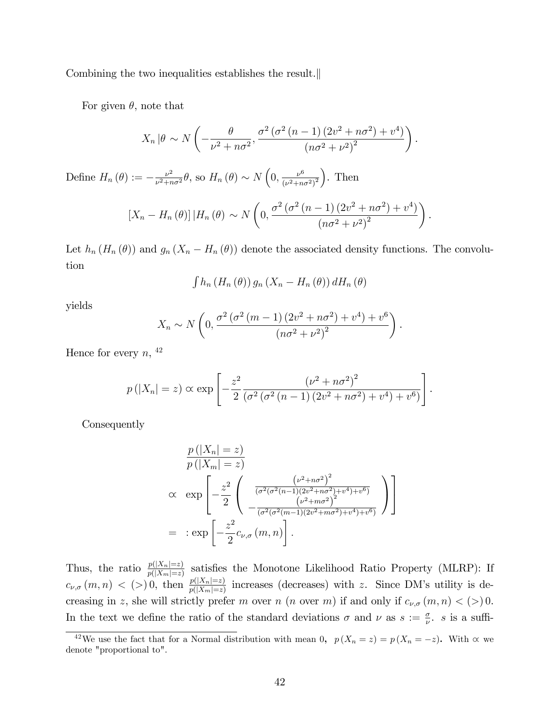Combining the two inequalities establishes the result.

For given  $\theta$ , note that

$$
X_n |\theta \sim N\left(-\frac{\theta}{\nu^2 + n\sigma^2}, \frac{\sigma^2 (\sigma^2 (n-1) (2v^2 + n\sigma^2) + v^4)}{(n\sigma^2 + \nu^2)^2}\right).
$$

Define  $H_n(\theta) := -\frac{\nu^2}{\nu^2 + n^2}$  $\frac{\nu^2}{\nu^2 + n\sigma^2} \theta$ , so  $H_n(\theta) \sim N\left(0, \frac{\nu^6}{(\nu^2 + n\sigma^2)}\right)$  $\frac{\nu^6}{(\nu^2+n\sigma^2)^2}$ . Then

$$
\left[X_n - H_n(\theta)\right] | H_n(\theta) \sim N\left(0, \frac{\sigma^2 \left(\sigma^2 \left(n-1\right) \left(2v^2 + n\sigma^2\right) + v^4\right)}{\left(n\sigma^2 + \nu^2\right)^2}\right).
$$

Let  $h_n(H_n(\theta))$  and  $g_n(X_n - H_n(\theta))$  denote the associated density functions. The convolution

$$
\int h_n(H_n(\theta)) g_n(X_n - H_n(\theta)) dH_n(\theta)
$$

yields

$$
X_n \sim N\left(0, \frac{\sigma^2 (\sigma^2 (m-1) (2v^2 + n\sigma^2) + v^4) + v^6}{(n\sigma^2 + \nu^2)^2}\right).
$$

Hence for every  $n, \frac{42}{3}$ 

$$
p(|X_n| = z) \propto \exp \left[ -\frac{z^2}{2} \frac{\left(\nu^2 + n\sigma^2\right)^2}{\left(\sigma^2 \left(\sigma^2 \left(n-1\right) \left(2\nu^2 + n\sigma^2\right) + \nu^4\right) + \nu^6\right)} \right].
$$

Consequently

$$
\frac{p(|X_n| = z)}{p(|X_m| = z)}
$$
\n
$$
\propto \exp\left[-\frac{z^2}{2}\left(\frac{(\nu^2 + n\sigma^2)^2}{(\sigma^2(\sigma^2(n-1)(2\nu^2 + n\sigma^2) + \nu^4) + \nu^6)} - \frac{(\nu^2 + m\sigma^2)^2}{(\sigma^2(\sigma^2(m-1)(2\nu^2 + m\sigma^2) + \nu^4) + \nu^6)}\right)\right]
$$
\n
$$
= \exp\left[-\frac{z^2}{2}c_{\nu,\sigma}(m, n)\right].
$$

Thus, the ratio  $p(|X_n|=z)$  satisfies the Monotone Likelihood Ratio Property (MLRP): If  $c_{\nu,\sigma}(m,n)$  < (>) 0, then  $\frac{p(|X_n|=z)}{p(|X_m|=z)}$  increases (decreases) with z. Since DM's utility is decreasing in z, she will strictly prefer m over n (n over m) if and only if  $c_{\nu,\sigma}(m,n) < (>)$  0. In the text we define the ratio of the standard deviations  $\sigma$  and  $\nu$  as  $s := \frac{\sigma}{\nu}$ . s is a suffi-

<sup>&</sup>lt;sup>42</sup>We use the fact that for a Normal distribution with mean 0,  $p(X_n = z) = p(X_n = -z)$ . With  $\alpha$  we denote "proportional to".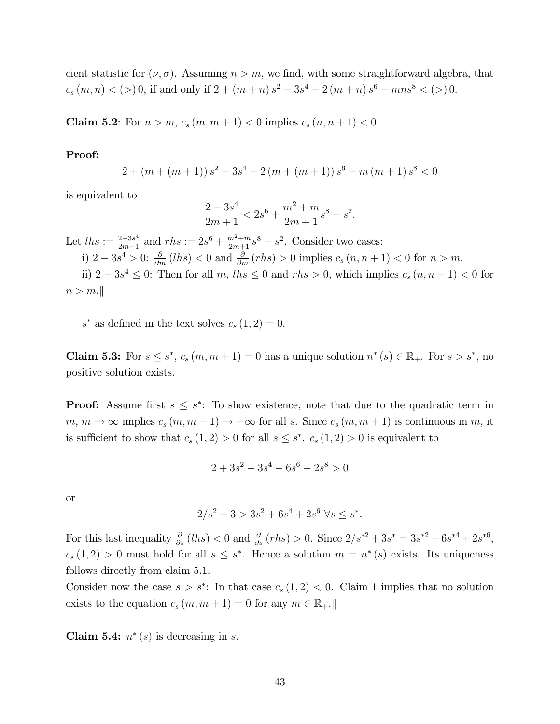cient statistic for  $(\nu, \sigma)$ . Assuming  $n > m$ , we find, with some straightforward algebra, that  $c_s(m,n) < (>)$  0, if and only if  $2 + (m+n) s^2 - 3s^4 - 2(m+n) s^6 - mns^8 < (>)$  0.

**Claim 5.2:** For  $n > m$ ,  $c_s(m, m + 1) < 0$  implies  $c_s(n, n + 1) < 0$ .

#### Proof:

$$
2 + (m + (m + 1)) s2 - 3s4 - 2(m + (m + 1)) s6 - m(m + 1) s8 < 0
$$

is equivalent to

$$
\frac{2-3s^4}{2m+1} < 2s^6 + \frac{m^2+m}{2m+1}s^8 - s^2.
$$

Let  $\ln s := \frac{2-3s^4}{2m+1}$  and  $\tau h s := 2s^6 + \frac{m^2+m}{2m+1}s^8 - s^2$ . Consider two cases:

i)  $2 - 3s^4 > 0$ :  $\frac{\partial}{\partial m}(lhs) < 0$  and  $\frac{\partial}{\partial m}(rhs) > 0$  implies  $c_s(n, n + 1) < 0$  for  $n > m$ .

ii)  $2-3s^4 \leq 0$ : Then for all m,  $\ln s \leq 0$  and  $\ln s > 0$ , which implies  $c_s(n, n+1) < 0$  for  $n > m.$ 

 $s^*$  as defined in the text solves  $c_s(1, 2) = 0$ .

**Claim 5.3:** For  $s \leq s^*$ ,  $c_s(m, m + 1) = 0$  has a unique solution  $n^*(s) \in \mathbb{R}_+$ . For  $s > s^*$ , no positive solution exists.

**Proof:** Assume first  $s \leq s^*$ : To show existence, note that due to the quadratic term in  $m, m \to \infty$  implies  $c_s (m, m + 1) \to -\infty$  for all s. Since  $c_s (m, m + 1)$  is continuous in m, it is sufficient to show that  $c_s(1, 2) > 0$  for all  $s \leq s^*$ .  $c_s(1, 2) > 0$  is equivalent to

$$
2 + 3s^2 - 3s^4 - 6s^6 - 2s^8 > 0
$$

or

$$
2/s^2 + 3 > 3s^2 + 6s^4 + 2s^6 \ \forall s \leq s^*.
$$

For this last inequality  $\frac{\partial}{\partial s} (lhs) < 0$  and  $\frac{\partial}{\partial s} (rhs) > 0$ . Since  $2/s^{*2} + 3s^* = 3s^{*2} + 6s^{*4} + 2s^{*6}$ ,  $c_s(1,2) > 0$  must hold for all  $s \leq s^*$ . Hence a solution  $m = n^*(s)$  exists. Its uniqueness follows directly from claim 5.1.

Consider now the case  $s > s^*$ : In that case  $c_s(1,2) < 0$ . Claim 1 implies that no solution exists to the equation  $c_s(m, m+1) = 0$  for any  $m \in \mathbb{R}_+$ .

Claim 5.4:  $n^*(s)$  is decreasing in s.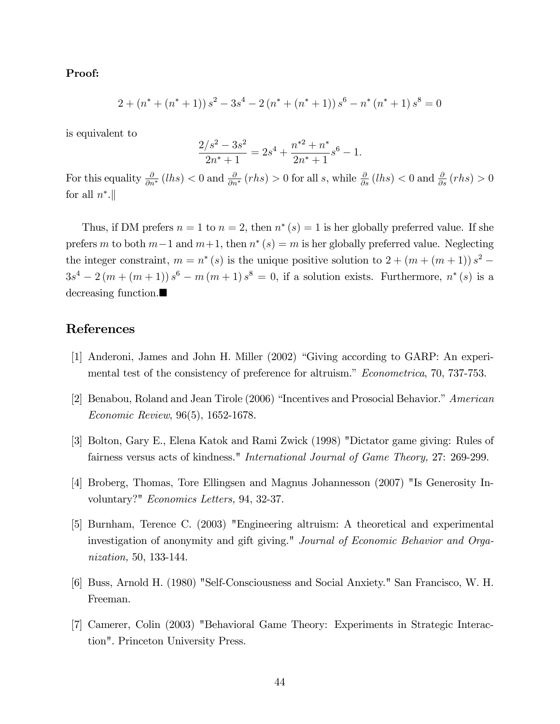#### Proof:

$$
2 + (n^* + (n^* + 1)) s^2 - 3s^4 - 2 (n^* + (n^* + 1)) s^6 - n^* (n^* + 1) s^8 = 0
$$

is equivalent to

$$
\frac{2/s^2 - 3s^2}{2n^* + 1} = 2s^4 + \frac{n^{*2} + n^*}{2n^* + 1}s^6 - 1.
$$

For this equality  $\frac{\partial}{\partial n^*}(lhs) < 0$  and  $\frac{\partial}{\partial n^*}(rhs) > 0$  for all s, while  $\frac{\partial}{\partial s}(lhs) < 0$  and  $\frac{\partial}{\partial s}(rhs) > 0$ for all  $n^*$ .

Thus, if DM prefers  $n = 1$  to  $n = 2$ , then  $n^*(s) = 1$  is her globally preferred value. If she prefers m to both  $m-1$  and  $m+1$ , then  $n^*(s) = m$  is her globally preferred value. Neglecting the integer constraint,  $m = n^*(s)$  is the unique positive solution to  $2 + (m + (m + 1)) s^2$  $3s<sup>4</sup> - 2(m + (m + 1))s<sup>6</sup> - m(m + 1)s<sup>8</sup> = 0$ , if a solution exists. Furthermore,  $n<sup>*</sup>(s)$  is a decreasing function.

## References

- [1] Anderoni, James and John H. Miller (2002) "Giving according to GARP: An experimental test of the consistency of preference for altruism." *Econometrica*, 70, 737-753.
- [2] Benabou, Roland and Jean Tirole (2006) "Incentives and Prosocial Behavior." American Economic Review, 96(5), 1652-1678.
- [3] Bolton, Gary E., Elena Katok and Rami Zwick (1998) "Dictator game giving: Rules of fairness versus acts of kindness." International Journal of Game Theory, 27: 269-299.
- [4] Broberg, Thomas, Tore Ellingsen and Magnus Johannesson (2007) "Is Generosity Involuntary?" Economics Letters, 94, 32-37.
- [5] Burnham, Terence C. (2003) "Engineering altruism: A theoretical and experimental investigation of anonymity and gift giving." Journal of Economic Behavior and Organization, 50, 133-144.
- [6] Buss, Arnold H. (1980) "Self-Consciousness and Social Anxiety." San Francisco, W. H. Freeman.
- [7] Camerer, Colin (2003) "Behavioral Game Theory: Experiments in Strategic Interaction". Princeton University Press.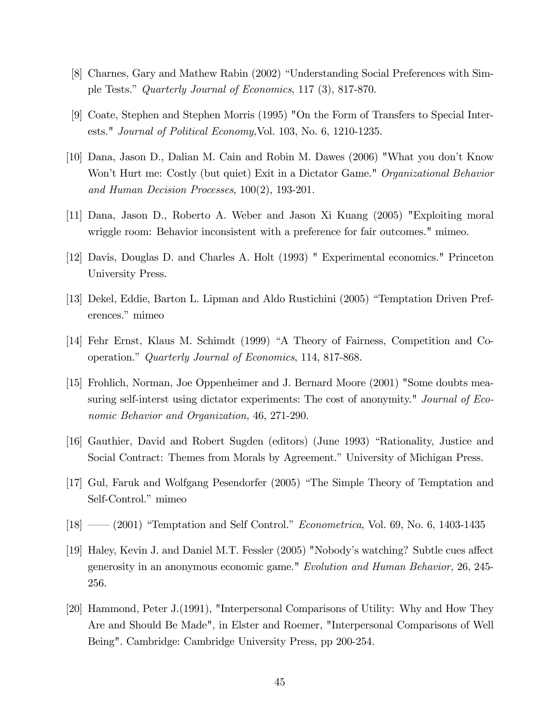- [8] Charnes, Gary and Mathew Rabin (2002) "Understanding Social Preferences with Simple Tests." Quarterly Journal of Economics, 117 (3), 817-870.
- [9] Coate, Stephen and Stephen Morris (1995) "On the Form of Transfers to Special Interests." Journal of Political Economy,Vol. 103, No. 6, 1210-1235.
- [10] Dana, Jason D., Dalian M. Cain and Robin M. Dawes (2006) "What you donít Know Won't Hurt me: Costly (but quiet) Exit in a Dictator Game." Organizational Behavior and Human Decision Processes, 100(2), 193-201.
- [11] Dana, Jason D., Roberto A. Weber and Jason Xi Kuang (2005) "Exploiting moral wriggle room: Behavior inconsistent with a preference for fair outcomes." mimeo.
- [12] Davis, Douglas D. and Charles A. Holt (1993) " Experimental economics." Princeton University Press.
- [13] Dekel, Eddie, Barton L. Lipman and Aldo Rustichini (2005) "Temptation Driven Preferences." mimeo
- [14] Fehr Ernst, Klaus M. Schimdt (1999) "A Theory of Fairness, Competition and Cooperation.î Quarterly Journal of Economics, 114, 817-868.
- [15] Frohlich, Norman, Joe Oppenheimer and J. Bernard Moore (2001) "Some doubts measuring self-interst using dictator experiments: The cost of anonymity." Journal of Economic Behavior and Organization, 46, 271-290.
- [16] Gauthier, David and Robert Sugden (editors) (June 1993) "Rationality, Justice and Social Contract: Themes from Morals by Agreement." University of Michigan Press.
- [17] Gul, Faruk and Wolfgang Pesendorfer (2005) "The Simple Theory of Temptation and Self-Control." mimeo
- $[18]$   $(2001)$  "Temptation and Self Control." *Econometrica*, Vol. 69, No. 6, 1403-1435
- [19] Haley, Kevin J. and Daniel M.T. Fessler (2005) "Nobody's watching? Subtle cues affect generosity in an anonymous economic game." Evolution and Human Behavior, 26, 245- 256.
- [20] Hammond, Peter J.(1991), "Interpersonal Comparisons of Utility: Why and How They Are and Should Be Made", in Elster and Roemer, "Interpersonal Comparisons of Well Being". Cambridge: Cambridge University Press, pp 200-254.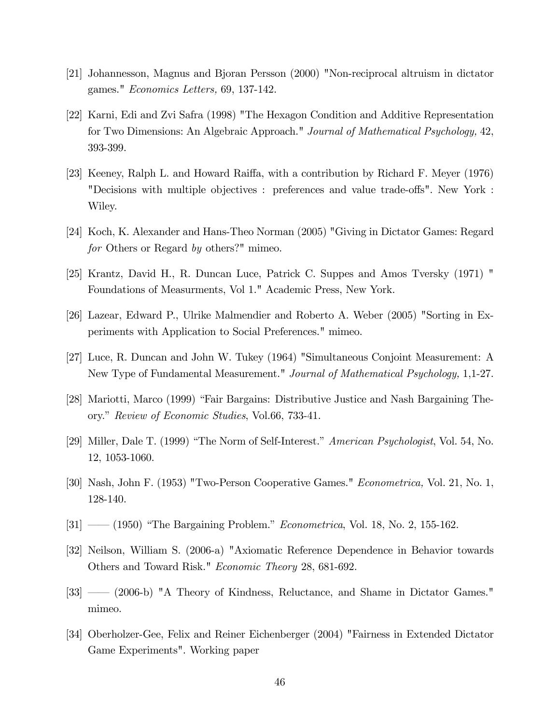- [21] Johannesson, Magnus and Bjoran Persson (2000) "Non-reciprocal altruism in dictator games." Economics Letters, 69, 137-142.
- [22] Karni, Edi and Zvi Safra (1998) "The Hexagon Condition and Additive Representation for Two Dimensions: An Algebraic Approach." Journal of Mathematical Psychology, 42, 393-399.
- [23] Keeney, Ralph L. and Howard Raiffa, with a contribution by Richard F. Meyer (1976) "Decisions with multiple objectives : preferences and value trade-offs". New York : Wiley.
- [24] Koch, K. Alexander and Hans-Theo Norman (2005) "Giving in Dictator Games: Regard for Others or Regard by others?" mimeo.
- [25] Krantz, David H., R. Duncan Luce, Patrick C. Suppes and Amos Tversky (1971) " Foundations of Measurments, Vol 1." Academic Press, New York.
- [26] Lazear, Edward P., Ulrike Malmendier and Roberto A. Weber (2005) "Sorting in Experiments with Application to Social Preferences." mimeo.
- [27] Luce, R. Duncan and John W. Tukey (1964) "Simultaneous Conjoint Measurement: A New Type of Fundamental Measurement." Journal of Mathematical Psychology, 1,1-27.
- [28] Mariotti, Marco (1999) "Fair Bargains: Distributive Justice and Nash Bargaining Theory.î Review of Economic Studies, Vol.66, 733-41.
- [29] Miller, Dale T. (1999) "The Norm of Self-Interest." American Psychologist, Vol. 54, No. 12, 1053-1060.
- [30] Nash, John F. (1953) "Two-Person Cooperative Games." Econometrica, Vol. 21, No. 1, 128-140.
- $[31]$   $(1950)$  "The Bargaining Problem." *Econometrica*, Vol. 18, No. 2, 155-162.
- [32] Neilson, William S. (2006-a) "Axiomatic Reference Dependence in Behavior towards Others and Toward Risk." Economic Theory 28, 681-692.
- [33] <sup>*(33)* <sup>a</sup> (2006-b) "A Theory of Kindness, Reluctance, and Shame in Dictator Games."</sup> mimeo.
- [34] Oberholzer-Gee, Felix and Reiner Eichenberger (2004) "Fairness in Extended Dictator Game Experiments". Working paper